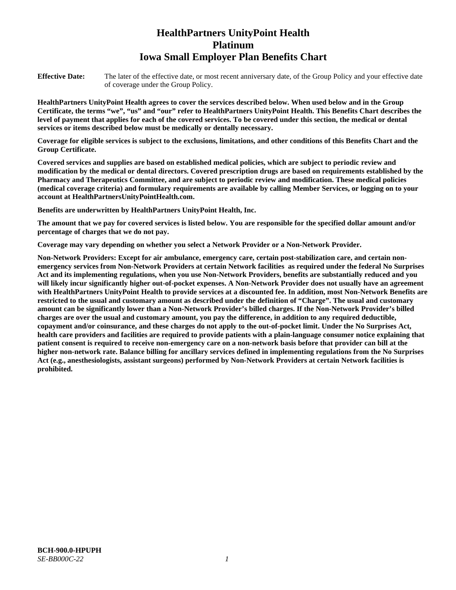# **HealthPartners UnityPoint Health Platinum Iowa Small Employer Plan Benefits Chart**

**Effective Date:** The later of the effective date, or most recent anniversary date, of the Group Policy and your effective date of coverage under the Group Policy.

**HealthPartners UnityPoint Health agrees to cover the services described below. When used below and in the Group Certificate, the terms "we", "us" and "our" refer to HealthPartners UnityPoint Health. This Benefits Chart describes the level of payment that applies for each of the covered services. To be covered under this section, the medical or dental services or items described below must be medically or dentally necessary.**

**Coverage for eligible services is subject to the exclusions, limitations, and other conditions of this Benefits Chart and the Group Certificate.** 

**Covered services and supplies are based on established medical policies, which are subject to periodic review and modification by the medical or dental directors. Covered prescription drugs are based on requirements established by the Pharmacy and Therapeutics Committee, and are subject to periodic review and modification. These medical policies (medical coverage criteria) and formulary requirements are available by calling Member Services, or logging on to your account at [HealthPartnersUnityPointHealth.com.](https://www.healthpartnersunitypointhealth.com/)**

**Benefits are underwritten by HealthPartners UnityPoint Health, Inc.**

**The amount that we pay for covered services is listed below. You are responsible for the specified dollar amount and/or percentage of charges that we do not pay.**

**Coverage may vary depending on whether you select a Network Provider or a Non-Network Provider.**

**Non-Network Providers: Except for air ambulance, emergency care, certain post-stabilization care, and certain nonemergency services from Non-Network Providers at certain Network facilities as required under the federal No Surprises Act and its implementing regulations, when you use Non-Network Providers, benefits are substantially reduced and you will likely incur significantly higher out-of-pocket expenses. A Non-Network Provider does not usually have an agreement with HealthPartners UnityPoint Health to provide services at a discounted fee. In addition, most Non-Network Benefits are restricted to the usual and customary amount as described under the definition of "Charge". The usual and customary amount can be significantly lower than a Non-Network Provider's billed charges. If the Non-Network Provider's billed charges are over the usual and customary amount, you pay the difference, in addition to any required deductible, copayment and/or coinsurance, and these charges do not apply to the out-of-pocket limit. Under the No Surprises Act, health care providers and facilities are required to provide patients with a plain-language consumer notice explaining that patient consent is required to receive non-emergency care on a non-network basis before that provider can bill at the higher non-network rate. Balance billing for ancillary services defined in implementing regulations from the No Surprises Act (e.g., anesthesiologists, assistant surgeons) performed by Non-Network Providers at certain Network facilities is prohibited.**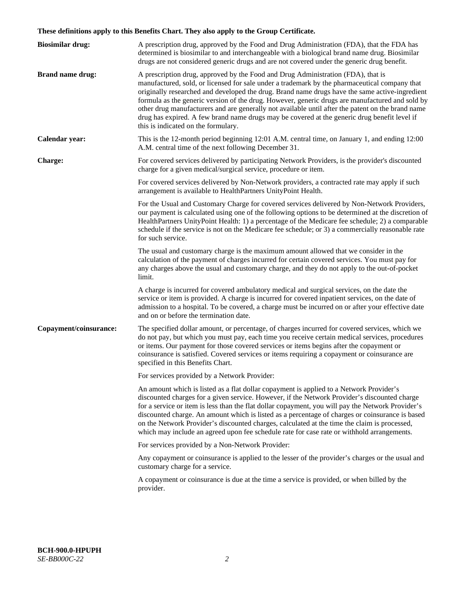# **These definitions apply to this Benefits Chart. They also apply to the Group Certificate.**

| <b>Biosimilar drug:</b> | A prescription drug, approved by the Food and Drug Administration (FDA), that the FDA has<br>determined is biosimilar to and interchangeable with a biological brand name drug. Biosimilar<br>drugs are not considered generic drugs and are not covered under the generic drug benefit.                                                                                                                                                                                                                                                                                                                                           |
|-------------------------|------------------------------------------------------------------------------------------------------------------------------------------------------------------------------------------------------------------------------------------------------------------------------------------------------------------------------------------------------------------------------------------------------------------------------------------------------------------------------------------------------------------------------------------------------------------------------------------------------------------------------------|
| <b>Brand name drug:</b> | A prescription drug, approved by the Food and Drug Administration (FDA), that is<br>manufactured, sold, or licensed for sale under a trademark by the pharmaceutical company that<br>originally researched and developed the drug. Brand name drugs have the same active-ingredient<br>formula as the generic version of the drug. However, generic drugs are manufactured and sold by<br>other drug manufacturers and are generally not available until after the patent on the brand name<br>drug has expired. A few brand name drugs may be covered at the generic drug benefit level if<br>this is indicated on the formulary. |
| Calendar year:          | This is the 12-month period beginning 12:01 A.M. central time, on January 1, and ending 12:00<br>A.M. central time of the next following December 31.                                                                                                                                                                                                                                                                                                                                                                                                                                                                              |
| <b>Charge:</b>          | For covered services delivered by participating Network Providers, is the provider's discounted<br>charge for a given medical/surgical service, procedure or item.                                                                                                                                                                                                                                                                                                                                                                                                                                                                 |
|                         | For covered services delivered by Non-Network providers, a contracted rate may apply if such<br>arrangement is available to HealthPartners UnityPoint Health.                                                                                                                                                                                                                                                                                                                                                                                                                                                                      |
|                         | For the Usual and Customary Charge for covered services delivered by Non-Network Providers,<br>our payment is calculated using one of the following options to be determined at the discretion of<br>HealthPartners UnityPoint Health: 1) a percentage of the Medicare fee schedule; 2) a comparable<br>schedule if the service is not on the Medicare fee schedule; or 3) a commercially reasonable rate<br>for such service.                                                                                                                                                                                                     |
|                         | The usual and customary charge is the maximum amount allowed that we consider in the<br>calculation of the payment of charges incurred for certain covered services. You must pay for<br>any charges above the usual and customary charge, and they do not apply to the out-of-pocket<br>limit.                                                                                                                                                                                                                                                                                                                                    |
|                         | A charge is incurred for covered ambulatory medical and surgical services, on the date the<br>service or item is provided. A charge is incurred for covered inpatient services, on the date of<br>admission to a hospital. To be covered, a charge must be incurred on or after your effective date<br>and on or before the termination date.                                                                                                                                                                                                                                                                                      |
| Copayment/coinsurance:  | The specified dollar amount, or percentage, of charges incurred for covered services, which we<br>do not pay, but which you must pay, each time you receive certain medical services, procedures<br>or items. Our payment for those covered services or items begins after the copayment or<br>coinsurance is satisfied. Covered services or items requiring a copayment or coinsurance are<br>specified in this Benefits Chart.                                                                                                                                                                                                   |
|                         | For services provided by a Network Provider:                                                                                                                                                                                                                                                                                                                                                                                                                                                                                                                                                                                       |
|                         | An amount which is listed as a flat dollar copayment is applied to a Network Provider's<br>discounted charges for a given service. However, if the Network Provider's discounted charge<br>for a service or item is less than the flat dollar copayment, you will pay the Network Provider's<br>discounted charge. An amount which is listed as a percentage of charges or coinsurance is based<br>on the Network Provider's discounted charges, calculated at the time the claim is processed,<br>which may include an agreed upon fee schedule rate for case rate or withhold arrangements.                                      |
|                         | For services provided by a Non-Network Provider:                                                                                                                                                                                                                                                                                                                                                                                                                                                                                                                                                                                   |
|                         | Any copayment or coinsurance is applied to the lesser of the provider's charges or the usual and<br>customary charge for a service.                                                                                                                                                                                                                                                                                                                                                                                                                                                                                                |
|                         | A copayment or coinsurance is due at the time a service is provided, or when billed by the<br>provider.                                                                                                                                                                                                                                                                                                                                                                                                                                                                                                                            |
|                         |                                                                                                                                                                                                                                                                                                                                                                                                                                                                                                                                                                                                                                    |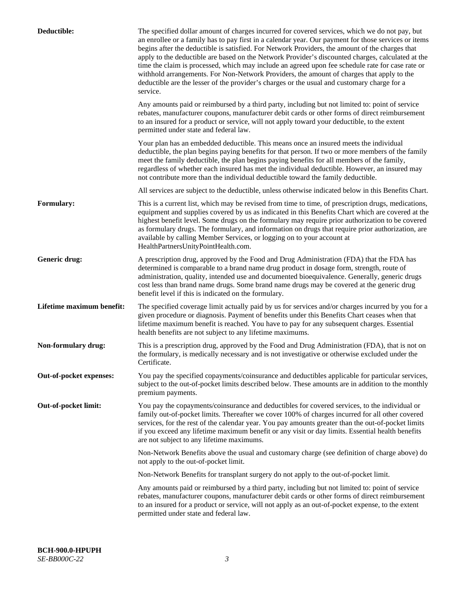| Deductible:               | The specified dollar amount of charges incurred for covered services, which we do not pay, but<br>an enrollee or a family has to pay first in a calendar year. Our payment for those services or items<br>begins after the deductible is satisfied. For Network Providers, the amount of the charges that<br>apply to the deductible are based on the Network Provider's discounted charges, calculated at the<br>time the claim is processed, which may include an agreed upon fee schedule rate for case rate or<br>withhold arrangements. For Non-Network Providers, the amount of charges that apply to the<br>deductible are the lesser of the provider's charges or the usual and customary charge for a<br>service. |
|---------------------------|----------------------------------------------------------------------------------------------------------------------------------------------------------------------------------------------------------------------------------------------------------------------------------------------------------------------------------------------------------------------------------------------------------------------------------------------------------------------------------------------------------------------------------------------------------------------------------------------------------------------------------------------------------------------------------------------------------------------------|
|                           | Any amounts paid or reimbursed by a third party, including but not limited to: point of service<br>rebates, manufacturer coupons, manufacturer debit cards or other forms of direct reimbursement<br>to an insured for a product or service, will not apply toward your deductible, to the extent<br>permitted under state and federal law.                                                                                                                                                                                                                                                                                                                                                                                |
|                           | Your plan has an embedded deductible. This means once an insured meets the individual<br>deductible, the plan begins paying benefits for that person. If two or more members of the family<br>meet the family deductible, the plan begins paying benefits for all members of the family,<br>regardless of whether each insured has met the individual deductible. However, an insured may<br>not contribute more than the individual deductible toward the family deductible.                                                                                                                                                                                                                                              |
|                           | All services are subject to the deductible, unless otherwise indicated below in this Benefits Chart.                                                                                                                                                                                                                                                                                                                                                                                                                                                                                                                                                                                                                       |
| <b>Formulary:</b>         | This is a current list, which may be revised from time to time, of prescription drugs, medications,<br>equipment and supplies covered by us as indicated in this Benefits Chart which are covered at the<br>highest benefit level. Some drugs on the formulary may require prior authorization to be covered<br>as formulary drugs. The formulary, and information on drugs that require prior authorization, are<br>available by calling Member Services, or logging on to your account at<br>HealthPartnersUnityPointHealth.com.                                                                                                                                                                                         |
| Generic drug:             | A prescription drug, approved by the Food and Drug Administration (FDA) that the FDA has<br>determined is comparable to a brand name drug product in dosage form, strength, route of<br>administration, quality, intended use and documented bioequivalence. Generally, generic drugs<br>cost less than brand name drugs. Some brand name drugs may be covered at the generic drug<br>benefit level if this is indicated on the formulary.                                                                                                                                                                                                                                                                                 |
| Lifetime maximum benefit: | The specified coverage limit actually paid by us for services and/or charges incurred by you for a<br>given procedure or diagnosis. Payment of benefits under this Benefits Chart ceases when that<br>lifetime maximum benefit is reached. You have to pay for any subsequent charges. Essential<br>health benefits are not subject to any lifetime maximums.                                                                                                                                                                                                                                                                                                                                                              |
| Non-formulary drug:       | This is a prescription drug, approved by the Food and Drug Administration (FDA), that is not on<br>the formulary, is medically necessary and is not investigative or otherwise excluded under the<br>Certificate.                                                                                                                                                                                                                                                                                                                                                                                                                                                                                                          |
| Out-of-pocket expenses:   | You pay the specified copayments/coinsurance and deductibles applicable for particular services,<br>subject to the out-of-pocket limits described below. These amounts are in addition to the monthly<br>premium payments.                                                                                                                                                                                                                                                                                                                                                                                                                                                                                                 |
| Out-of-pocket limit:      | You pay the copayments/coinsurance and deductibles for covered services, to the individual or<br>family out-of-pocket limits. Thereafter we cover 100% of charges incurred for all other covered<br>services, for the rest of the calendar year. You pay amounts greater than the out-of-pocket limits<br>if you exceed any lifetime maximum benefit or any visit or day limits. Essential health benefits<br>are not subject to any lifetime maximums.                                                                                                                                                                                                                                                                    |
|                           | Non-Network Benefits above the usual and customary charge (see definition of charge above) do<br>not apply to the out-of-pocket limit.                                                                                                                                                                                                                                                                                                                                                                                                                                                                                                                                                                                     |
|                           | Non-Network Benefits for transplant surgery do not apply to the out-of-pocket limit.                                                                                                                                                                                                                                                                                                                                                                                                                                                                                                                                                                                                                                       |
|                           | Any amounts paid or reimbursed by a third party, including but not limited to: point of service<br>rebates, manufacturer coupons, manufacturer debit cards or other forms of direct reimbursement<br>to an insured for a product or service, will not apply as an out-of-pocket expense, to the extent<br>permitted under state and federal law.                                                                                                                                                                                                                                                                                                                                                                           |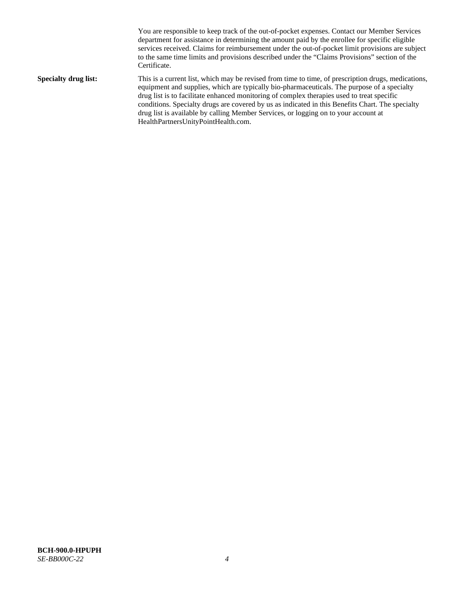You are responsible to keep track of the out-of-pocket expenses. Contact our Member Services department for assistance in determining the amount paid by the enrollee for specific eligible services received. Claims for reimbursement under the out-of-pocket limit provisions are subject to the same time limits and provisions described under the "Claims Provisions" section of the Certificate. **Specialty drug list:** This is a current list, which may be revised from time to time, of prescription drugs, medications, equipment and supplies, which are typically bio-pharmaceuticals. The purpose of a specialty drug list is to facilitate enhanced monitoring of complex therapies used to treat specific conditions. Specialty drugs are covered by us as indicated in this Benefits Chart. The specialty drug list is available by calling Member Services, or logging on to your account at [HealthPartnersUnityPointHealth.com.](https://www.healthpartnersunitypointhealth.com/)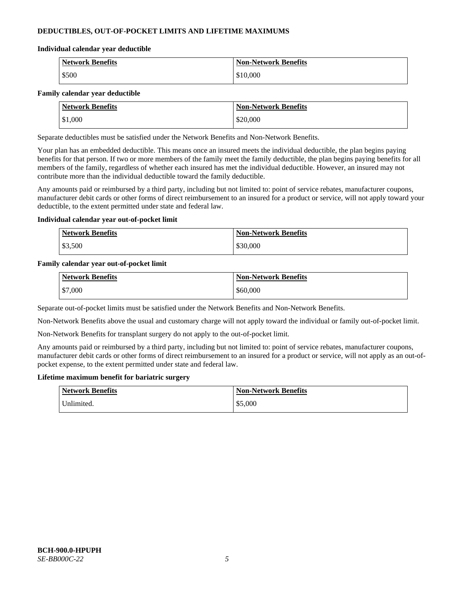## **DEDUCTIBLES, OUT-OF-POCKET LIMITS AND LIFETIME MAXIMUMS**

#### **Individual calendar year deductible**

| <b>Network Benefits</b> | <b>Non-Network Benefits</b> |
|-------------------------|-----------------------------|
| \$500                   | \$10,000                    |

#### **Family calendar year deductible**

| <b>Network Benefits</b> | <b>Non-Network Benefits</b> |
|-------------------------|-----------------------------|
| \$1,000                 | \$20,000                    |

Separate deductibles must be satisfied under the Network Benefits and Non-Network Benefits.

Your plan has an embedded deductible. This means once an insured meets the individual deductible, the plan begins paying benefits for that person. If two or more members of the family meet the family deductible, the plan begins paying benefits for all members of the family, regardless of whether each insured has met the individual deductible. However, an insured may not contribute more than the individual deductible toward the family deductible.

Any amounts paid or reimbursed by a third party, including but not limited to: point of service rebates, manufacturer coupons, manufacturer debit cards or other forms of direct reimbursement to an insured for a product or service, will not apply toward your deductible, to the extent permitted under state and federal law.

### **Individual calendar year out-of-pocket limit**

| <b>Network Benefits</b> | <b>Non-Network Benefits</b> |
|-------------------------|-----------------------------|
| \$3,500                 | \$30,000                    |

### **Family calendar year out-of-pocket limit**

| <b>Network Benefits</b> | <b>Non-Network Benefits</b> |
|-------------------------|-----------------------------|
| \$7,000                 | \$60,000                    |

Separate out-of-pocket limits must be satisfied under the Network Benefits and Non-Network Benefits.

Non-Network Benefits above the usual and customary charge will not apply toward the individual or family out-of-pocket limit.

Non-Network Benefits for transplant surgery do not apply to the out-of-pocket limit.

Any amounts paid or reimbursed by a third party, including but not limited to: point of service rebates, manufacturer coupons, manufacturer debit cards or other forms of direct reimbursement to an insured for a product or service, will not apply as an out-ofpocket expense, to the extent permitted under state and federal law.

#### **Lifetime maximum benefit for bariatric surgery**

| <b>Network Benefits</b> | <b>Non-Network Benefits</b> |
|-------------------------|-----------------------------|
| Jnlimited.              | \$5,000                     |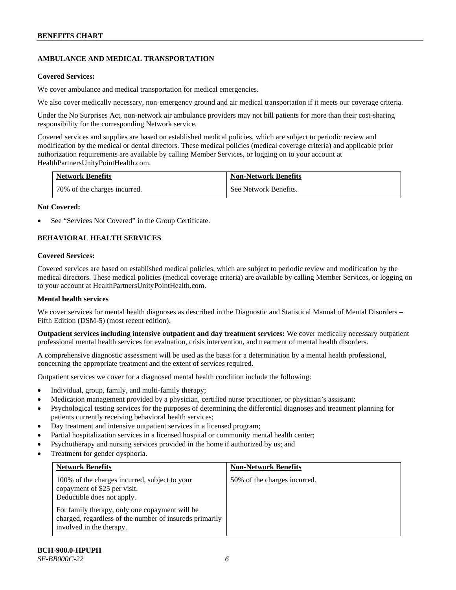# **AMBULANCE AND MEDICAL TRANSPORTATION**

### **Covered Services:**

We cover ambulance and medical transportation for medical emergencies.

We also cover medically necessary, non-emergency ground and air medical transportation if it meets our coverage criteria.

Under the No Surprises Act, non-network air ambulance providers may not bill patients for more than their cost-sharing responsibility for the corresponding Network service.

Covered services and supplies are based on established medical policies, which are subject to periodic review and modification by the medical or dental directors. These medical policies (medical coverage criteria) and applicable prior authorization requirements are available by calling Member Services, or logging on to your account at [HealthPartnersUnityPointHealth.com.](https://www.healthpartnersunitypointhealth.com/)

| <b>Network Benefits</b>      | <b>Non-Network Benefits</b> |
|------------------------------|-----------------------------|
| 70% of the charges incurred. | See Network Benefits.       |

### **Not Covered:**

See "Services Not Covered" in the Group Certificate.

# **BEHAVIORAL HEALTH SERVICES**

### **Covered Services:**

Covered services are based on established medical policies, which are subject to periodic review and modification by the medical directors. These medical policies (medical coverage criteria) are available by calling Member Services, or logging on to your account at [HealthPartnersUnityPointHealth.com.](https://www.healthpartnersunitypointhealth.com/)

### **Mental health services**

We cover services for mental health diagnoses as described in the Diagnostic and Statistical Manual of Mental Disorders – Fifth Edition (DSM-5) (most recent edition).

**Outpatient services including intensive outpatient and day treatment services:** We cover medically necessary outpatient professional mental health services for evaluation, crisis intervention, and treatment of mental health disorders.

A comprehensive diagnostic assessment will be used as the basis for a determination by a mental health professional, concerning the appropriate treatment and the extent of services required.

Outpatient services we cover for a diagnosed mental health condition include the following:

- Individual, group, family, and multi-family therapy;
- Medication management provided by a physician, certified nurse practitioner, or physician's assistant;
- Psychological testing services for the purposes of determining the differential diagnoses and treatment planning for patients currently receiving behavioral health services;
- Day treatment and intensive outpatient services in a licensed program;
- Partial hospitalization services in a licensed hospital or community mental health center;
- Psychotherapy and nursing services provided in the home if authorized by us; and
- Treatment for gender dysphoria.

| <b>Network Benefits</b>                                                                                                               | <b>Non-Network Benefits</b>  |
|---------------------------------------------------------------------------------------------------------------------------------------|------------------------------|
| 100% of the charges incurred, subject to your<br>copayment of \$25 per visit.<br>Deductible does not apply.                           | 50% of the charges incurred. |
| For family therapy, only one copayment will be<br>charged, regardless of the number of insureds primarily<br>involved in the therapy. |                              |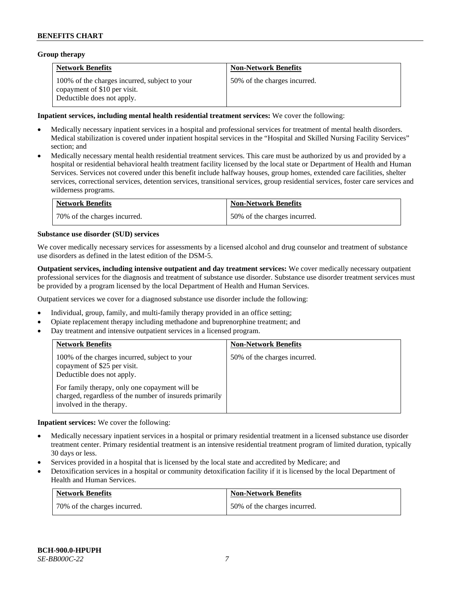### **Group therapy**

| <b>Network Benefits</b>                                                                                     | <b>Non-Network Benefits</b>  |
|-------------------------------------------------------------------------------------------------------------|------------------------------|
| 100% of the charges incurred, subject to your<br>copayment of \$10 per visit.<br>Deductible does not apply. | 50% of the charges incurred. |

### **Inpatient services, including mental health residential treatment services:** We cover the following:

- Medically necessary inpatient services in a hospital and professional services for treatment of mental health disorders. Medical stabilization is covered under inpatient hospital services in the "Hospital and Skilled Nursing Facility Services" section; and
- Medically necessary mental health residential treatment services. This care must be authorized by us and provided by a hospital or residential behavioral health treatment facility licensed by the local state or Department of Health and Human Services. Services not covered under this benefit include halfway houses, group homes, extended care facilities, shelter services, correctional services, detention services, transitional services, group residential services, foster care services and wilderness programs.

| <b>Network Benefits</b>      | <b>Non-Network Benefits</b>  |
|------------------------------|------------------------------|
| 70% of the charges incurred. | 50% of the charges incurred. |

### **Substance use disorder (SUD) services**

We cover medically necessary services for assessments by a licensed alcohol and drug counselor and treatment of substance use disorders as defined in the latest edition of the DSM-5.

**Outpatient services, including intensive outpatient and day treatment services:** We cover medically necessary outpatient professional services for the diagnosis and treatment of substance use disorder. Substance use disorder treatment services must be provided by a program licensed by the local Department of Health and Human Services.

Outpatient services we cover for a diagnosed substance use disorder include the following:

- Individual, group, family, and multi-family therapy provided in an office setting;
- Opiate replacement therapy including methadone and buprenorphine treatment; and
- Day treatment and intensive outpatient services in a licensed program.

| <b>Network Benefits</b>                                                                                                                                                                                                                              | <b>Non-Network Benefits</b>  |
|------------------------------------------------------------------------------------------------------------------------------------------------------------------------------------------------------------------------------------------------------|------------------------------|
| 100% of the charges incurred, subject to your<br>copayment of \$25 per visit.<br>Deductible does not apply.<br>For family therapy, only one copayment will be<br>charged, regardless of the number of insureds primarily<br>involved in the therapy. | 50% of the charges incurred. |

**Inpatient services:** We cover the following:

- Medically necessary inpatient services in a hospital or primary residential treatment in a licensed substance use disorder treatment center. Primary residential treatment is an intensive residential treatment program of limited duration, typically 30 days or less.
- Services provided in a hospital that is licensed by the local state and accredited by Medicare; and
- Detoxification services in a hospital or community detoxification facility if it is licensed by the local Department of Health and Human Services.

| <b>Network Benefits</b>      | <b>Non-Network Benefits</b>  |
|------------------------------|------------------------------|
| 70% of the charges incurred. | 50% of the charges incurred. |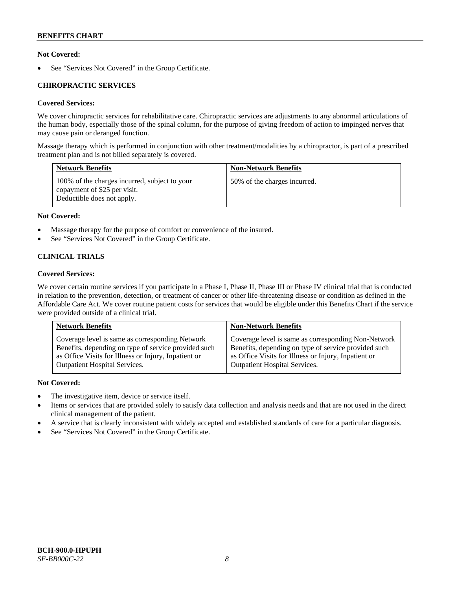## **Not Covered:**

See "Services Not Covered" in the Group Certificate.

## **CHIROPRACTIC SERVICES**

## **Covered Services:**

We cover chiropractic services for rehabilitative care. Chiropractic services are adjustments to any abnormal articulations of the human body, especially those of the spinal column, for the purpose of giving freedom of action to impinged nerves that may cause pain or deranged function.

Massage therapy which is performed in conjunction with other treatment/modalities by a chiropractor, is part of a prescribed treatment plan and is not billed separately is covered.

| <b>Network Benefits</b>                                                                                     | <b>Non-Network Benefits</b>  |
|-------------------------------------------------------------------------------------------------------------|------------------------------|
| 100% of the charges incurred, subject to your<br>copayment of \$25 per visit.<br>Deductible does not apply. | 50% of the charges incurred. |

### **Not Covered:**

- Massage therapy for the purpose of comfort or convenience of the insured.
- See "Services Not Covered" in the Group Certificate.

# **CLINICAL TRIALS**

### **Covered Services:**

We cover certain routine services if you participate in a Phase I, Phase II, Phase III or Phase IV clinical trial that is conducted in relation to the prevention, detection, or treatment of cancer or other life-threatening disease or condition as defined in the Affordable Care Act. We cover routine patient costs for services that would be eligible under this Benefits Chart if the service were provided outside of a clinical trial.

| <b>Network Benefits</b>                              | <b>Non-Network Benefits</b>                          |
|------------------------------------------------------|------------------------------------------------------|
| Coverage level is same as corresponding Network      | Coverage level is same as corresponding Non-Network  |
| Benefits, depending on type of service provided such | Benefits, depending on type of service provided such |
| as Office Visits for Illness or Injury, Inpatient or | as Office Visits for Illness or Injury, Inpatient or |
| <b>Outpatient Hospital Services.</b>                 | <b>Outpatient Hospital Services.</b>                 |

### **Not Covered:**

- The investigative item, device or service itself.
- Items or services that are provided solely to satisfy data collection and analysis needs and that are not used in the direct clinical management of the patient.
- A service that is clearly inconsistent with widely accepted and established standards of care for a particular diagnosis.
- See "Services Not Covered" in the Group Certificate.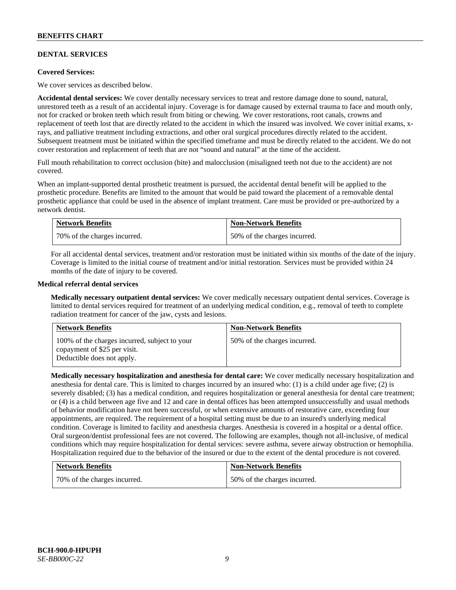## **DENTAL SERVICES**

### **Covered Services:**

We cover services as described below.

**Accidental dental services:** We cover dentally necessary services to treat and restore damage done to sound, natural, unrestored teeth as a result of an accidental injury. Coverage is for damage caused by external trauma to face and mouth only, not for cracked or broken teeth which result from biting or chewing. We cover restorations, root canals, crowns and replacement of teeth lost that are directly related to the accident in which the insured was involved. We cover initial exams, xrays, and palliative treatment including extractions, and other oral surgical procedures directly related to the accident. Subsequent treatment must be initiated within the specified timeframe and must be directly related to the accident. We do not cover restoration and replacement of teeth that are not "sound and natural" at the time of the accident.

Full mouth rehabilitation to correct occlusion (bite) and malocclusion (misaligned teeth not due to the accident) are not covered.

When an implant-supported dental prosthetic treatment is pursued, the accidental dental benefit will be applied to the prosthetic procedure. Benefits are limited to the amount that would be paid toward the placement of a removable dental prosthetic appliance that could be used in the absence of implant treatment. Care must be provided or pre-authorized by a network dentist.

| <b>Network Benefits</b>      | <b>Non-Network Benefits</b>  |
|------------------------------|------------------------------|
| 70% of the charges incurred. | 50% of the charges incurred. |

For all accidental dental services, treatment and/or restoration must be initiated within six months of the date of the injury. Coverage is limited to the initial course of treatment and/or initial restoration. Services must be provided within 24 months of the date of injury to be covered.

### **Medical referral dental services**

**Medically necessary outpatient dental services:** We cover medically necessary outpatient dental services. Coverage is limited to dental services required for treatment of an underlying medical condition, e.g., removal of teeth to complete radiation treatment for cancer of the jaw, cysts and lesions.

| <b>Network Benefits</b>                                                                                     | <b>Non-Network Benefits</b>  |
|-------------------------------------------------------------------------------------------------------------|------------------------------|
| 100% of the charges incurred, subject to your<br>copayment of \$25 per visit.<br>Deductible does not apply. | 50% of the charges incurred. |

**Medically necessary hospitalization and anesthesia for dental care:** We cover medically necessary hospitalization and anesthesia for dental care. This is limited to charges incurred by an insured who: (1) is a child under age five; (2) is severely disabled; (3) has a medical condition, and requires hospitalization or general anesthesia for dental care treatment; or (4) is a child between age five and 12 and care in dental offices has been attempted unsuccessfully and usual methods of behavior modification have not been successful, or when extensive amounts of restorative care, exceeding four appointments, are required. The requirement of a hospital setting must be due to an insured's underlying medical condition. Coverage is limited to facility and anesthesia charges. Anesthesia is covered in a hospital or a dental office. Oral surgeon/dentist professional fees are not covered. The following are examples, though not all-inclusive, of medical conditions which may require hospitalization for dental services: severe asthma, severe airway obstruction or hemophilia. Hospitalization required due to the behavior of the insured or due to the extent of the dental procedure is not covered.

| <b>Network Benefits</b>      | <b>Non-Network Benefits</b>  |
|------------------------------|------------------------------|
| 70% of the charges incurred. | 50% of the charges incurred. |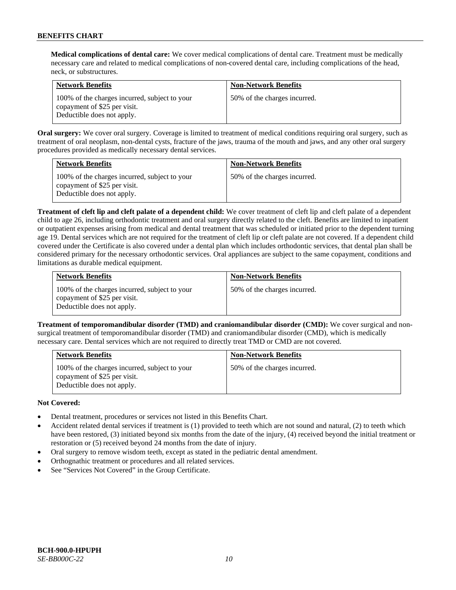**Medical complications of dental care:** We cover medical complications of dental care. Treatment must be medically necessary care and related to medical complications of non-covered dental care, including complications of the head, neck, or substructures.

| <b>Network Benefits</b>                                                                                     | <b>Non-Network Benefits</b>  |
|-------------------------------------------------------------------------------------------------------------|------------------------------|
| 100% of the charges incurred, subject to your<br>copayment of \$25 per visit.<br>Deductible does not apply. | 50% of the charges incurred. |

**Oral surgery:** We cover oral surgery. Coverage is limited to treatment of medical conditions requiring oral surgery, such as treatment of oral neoplasm, non-dental cysts, fracture of the jaws, trauma of the mouth and jaws, and any other oral surgery procedures provided as medically necessary dental services.

| <b>Network Benefits</b>                                                                                     | <b>Non-Network Benefits</b>  |
|-------------------------------------------------------------------------------------------------------------|------------------------------|
| 100% of the charges incurred, subject to your<br>copayment of \$25 per visit.<br>Deductible does not apply. | 50% of the charges incurred. |

**Treatment of cleft lip and cleft palate of a dependent child:** We cover treatment of cleft lip and cleft palate of a dependent child to age 26, including orthodontic treatment and oral surgery directly related to the cleft. Benefits are limited to inpatient or outpatient expenses arising from medical and dental treatment that was scheduled or initiated prior to the dependent turning age 19. Dental services which are not required for the treatment of cleft lip or cleft palate are not covered. If a dependent child covered under the Certificate is also covered under a dental plan which includes orthodontic services, that dental plan shall be considered primary for the necessary orthodontic services. Oral appliances are subject to the same copayment, conditions and limitations as durable medical equipment.

| <b>Network Benefits</b>                                                                                     | <b>Non-Network Benefits</b>  |
|-------------------------------------------------------------------------------------------------------------|------------------------------|
| 100% of the charges incurred, subject to your<br>copayment of \$25 per visit.<br>Deductible does not apply. | 50% of the charges incurred. |

**Treatment of temporomandibular disorder (TMD) and craniomandibular disorder (CMD):** We cover surgical and nonsurgical treatment of temporomandibular disorder (TMD) and craniomandibular disorder (CMD), which is medically necessary care. Dental services which are not required to directly treat TMD or CMD are not covered.

| <b>Network Benefits</b>                                                                                     | <b>Non-Network Benefits</b>  |
|-------------------------------------------------------------------------------------------------------------|------------------------------|
| 100% of the charges incurred, subject to your<br>copayment of \$25 per visit.<br>Deductible does not apply. | 50% of the charges incurred. |

### **Not Covered:**

- Dental treatment, procedures or services not listed in this Benefits Chart.
- Accident related dental services if treatment is (1) provided to teeth which are not sound and natural, (2) to teeth which have been restored, (3) initiated beyond six months from the date of the injury, (4) received beyond the initial treatment or restoration or (5) received beyond 24 months from the date of injury.
- Oral surgery to remove wisdom teeth, except as stated in the pediatric dental amendment.
- Orthognathic treatment or procedures and all related services.
- See "Services Not Covered" in the Group Certificate.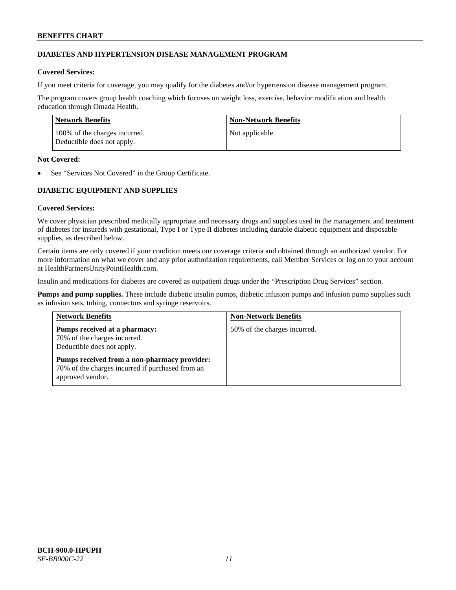## **DIABETES AND HYPERTENSION DISEASE MANAGEMENT PROGRAM**

## **Covered Services:**

If you meet criteria for coverage, you may qualify for the diabetes and/or hypertension disease management program.

The program covers group health coaching which focuses on weight loss, exercise, behavior modification and health education through Omada Health.

| Network Benefits                                            | <b>Non-Network Benefits</b> |
|-------------------------------------------------------------|-----------------------------|
| 100% of the charges incurred.<br>Deductible does not apply. | Not applicable.             |

### **Not Covered:**

See "Services Not Covered" in the Group Certificate.

# **DIABETIC EQUIPMENT AND SUPPLIES**

### **Covered Services:**

We cover physician prescribed medically appropriate and necessary drugs and supplies used in the management and treatment of diabetes for insureds with gestational, Type I or Type II diabetes including durable diabetic equipment and disposable supplies, as described below.

Certain items are only covered if your condition meets our coverage criteria and obtained through an authorized vendor. For more information on what we cover and any prior authorization requirements, call Member Services or log on to your account at [HealthPartnersUnityPointHealth.com.](https://www.healthpartnersunitypointhealth.com/)

Insulin and medications for diabetes are covered as outpatient drugs under the "Prescription Drug Services" section.

**Pumps and pump supplies.** These include diabetic insulin pumps, diabetic infusion pumps and infusion pump supplies such as infusion sets, tubing, connectors and syringe reservoirs.

| <b>Network Benefits</b>                                                                                              | <b>Non-Network Benefits</b>  |
|----------------------------------------------------------------------------------------------------------------------|------------------------------|
| Pumps received at a pharmacy:<br>70% of the charges incurred.<br>Deductible does not apply.                          | 50% of the charges incurred. |
| Pumps received from a non-pharmacy provider:<br>70% of the charges incurred if purchased from an<br>approved vendor. |                              |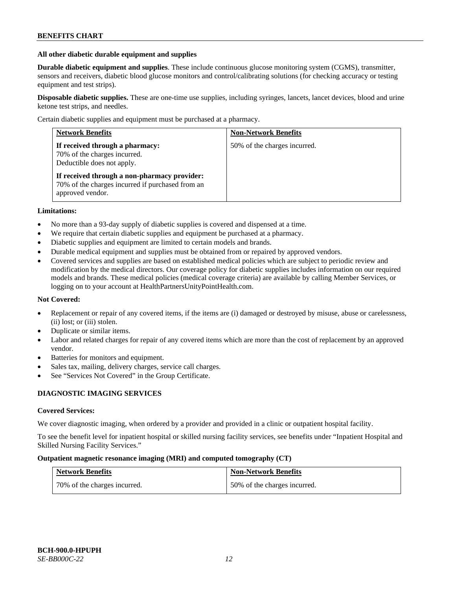#### **All other diabetic durable equipment and supplies**

**Durable diabetic equipment and supplies**. These include continuous glucose monitoring system (CGMS), transmitter, sensors and receivers, diabetic blood glucose monitors and control/calibrating solutions (for checking accuracy or testing equipment and test strips).

**Disposable diabetic supplies.** These are one-time use supplies, including syringes, lancets, lancet devices, blood and urine ketone test strips, and needles.

Certain diabetic supplies and equipment must be purchased at a pharmacy.

| <b>Network Benefits</b>                                                                                              | <b>Non-Network Benefits</b>  |
|----------------------------------------------------------------------------------------------------------------------|------------------------------|
| If received through a pharmacy:<br>70% of the charges incurred.<br>Deductible does not apply.                        | 50% of the charges incurred. |
| If received through a non-pharmacy provider:<br>70% of the charges incurred if purchased from an<br>approved vendor. |                              |

### **Limitations:**

- No more than a 93-day supply of diabetic supplies is covered and dispensed at a time.
- We require that certain diabetic supplies and equipment be purchased at a pharmacy.
- Diabetic supplies and equipment are limited to certain models and brands.
- Durable medical equipment and supplies must be obtained from or repaired by approved vendors.
- Covered services and supplies are based on established medical policies which are subject to periodic review and modification by the medical directors. Our coverage policy for diabetic supplies includes information on our required models and brands. These medical policies (medical coverage criteria) are available by calling Member Services, or logging on to your account a[t HealthPartnersUnityPointHealth.com.](https://www.healthpartnersunitypointhealth.com/)

### **Not Covered:**

- Replacement or repair of any covered items, if the items are (i) damaged or destroyed by misuse, abuse or carelessness, (ii) lost; or (iii) stolen.
- Duplicate or similar items.
- Labor and related charges for repair of any covered items which are more than the cost of replacement by an approved vendor.
- Batteries for monitors and equipment.
- Sales tax, mailing, delivery charges, service call charges.
- See "Services Not Covered" in the Group Certificate.

### **DIAGNOSTIC IMAGING SERVICES**

#### **Covered Services:**

We cover diagnostic imaging, when ordered by a provider and provided in a clinic or outpatient hospital facility.

To see the benefit level for inpatient hospital or skilled nursing facility services, see benefits under "Inpatient Hospital and Skilled Nursing Facility Services."

### **Outpatient magnetic resonance imaging (MRI) and computed tomography (CT)**

| <b>Network Benefits</b>      | <b>Non-Network Benefits</b>  |
|------------------------------|------------------------------|
| 70% of the charges incurred. | 50% of the charges incurred. |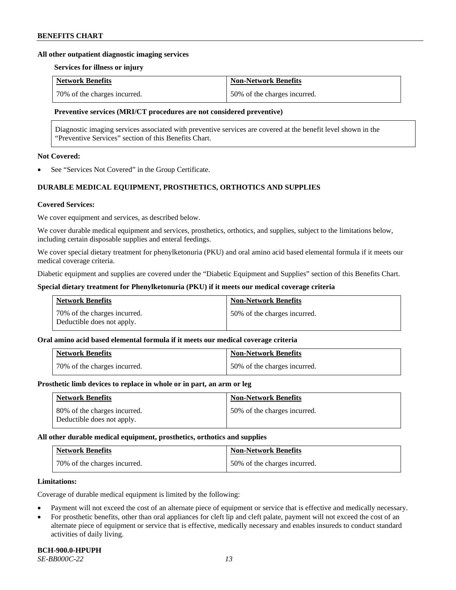### **All other outpatient diagnostic imaging services**

#### **Services for illness or injury**

| <b>Network Benefits</b>      | <b>Non-Network Benefits</b>  |
|------------------------------|------------------------------|
| 70% of the charges incurred. | 50% of the charges incurred. |

### **Preventive services (MRI/CT procedures are not considered preventive)**

Diagnostic imaging services associated with preventive services are covered at the benefit level shown in the "Preventive Services" section of this Benefits Chart.

### **Not Covered:**

See "Services Not Covered" in the Group Certificate.

# **DURABLE MEDICAL EQUIPMENT, PROSTHETICS, ORTHOTICS AND SUPPLIES**

### **Covered Services:**

We cover equipment and services, as described below.

We cover durable medical equipment and services, prosthetics, orthotics, and supplies, subject to the limitations below, including certain disposable supplies and enteral feedings.

We cover special dietary treatment for phenylketonuria (PKU) and oral amino acid based elemental formula if it meets our medical coverage criteria.

Diabetic equipment and supplies are covered under the "Diabetic Equipment and Supplies" section of this Benefits Chart.

### **Special dietary treatment for Phenylketonuria (PKU) if it meets our medical coverage criteria**

| <b>Network Benefits</b>                                    | <b>Non-Network Benefits</b>  |
|------------------------------------------------------------|------------------------------|
| 70% of the charges incurred.<br>Deductible does not apply. | 50% of the charges incurred. |

### **Oral amino acid based elemental formula if it meets our medical coverage criteria**

| <b>Network Benefits</b>      | <b>Non-Network Benefits</b>  |
|------------------------------|------------------------------|
| 70% of the charges incurred. | 50% of the charges incurred. |

#### **Prosthetic limb devices to replace in whole or in part, an arm or leg**

| <b>Network Benefits</b>                                    | <b>Non-Network Benefits</b>  |
|------------------------------------------------------------|------------------------------|
| 80% of the charges incurred.<br>Deductible does not apply. | 50% of the charges incurred. |

#### **All other durable medical equipment, prosthetics, orthotics and supplies**

| <b>Network Benefits</b>        | <b>Non-Network Benefits</b>  |
|--------------------------------|------------------------------|
| 1 70% of the charges incurred. | 50% of the charges incurred. |

#### **Limitations:**

Coverage of durable medical equipment is limited by the following:

- Payment will not exceed the cost of an alternate piece of equipment or service that is effective and medically necessary.
- For prosthetic benefits, other than oral appliances for cleft lip and cleft palate, payment will not exceed the cost of an alternate piece of equipment or service that is effective, medically necessary and enables insureds to conduct standard activities of daily living.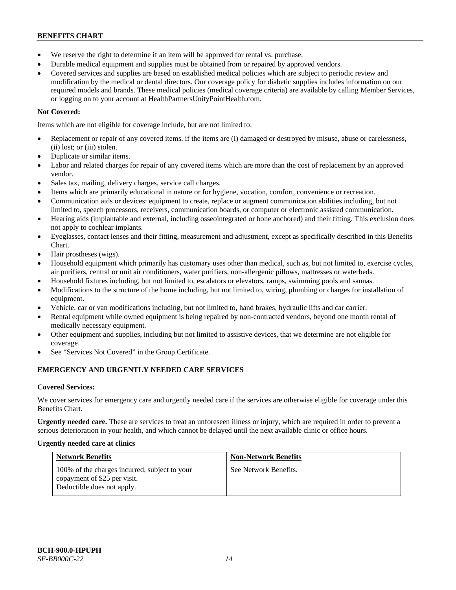- We reserve the right to determine if an item will be approved for rental vs. purchase.
- Durable medical equipment and supplies must be obtained from or repaired by approved vendors.
- Covered services and supplies are based on established medical policies which are subject to periodic review and modification by the medical or dental directors. Our coverage policy for diabetic supplies includes information on our required models and brands. These medical policies (medical coverage criteria) are available by calling Member Services, or logging on to your account at [HealthPartnersUnityPointHealth.com.](https://www.healthpartnersunitypointhealth.com/)

# **Not Covered:**

Items which are not eligible for coverage include, but are not limited to:

- Replacement or repair of any covered items, if the items are (i) damaged or destroyed by misuse, abuse or carelessness, (ii) lost; or (iii) stolen.
- Duplicate or similar items.
- Labor and related charges for repair of any covered items which are more than the cost of replacement by an approved vendor.
- Sales tax, mailing, delivery charges, service call charges.
- Items which are primarily educational in nature or for hygiene, vocation, comfort, convenience or recreation.
- Communication aids or devices: equipment to create, replace or augment communication abilities including, but not limited to, speech processors, receivers, communication boards, or computer or electronic assisted communication.
- Hearing aids (implantable and external, including osseointegrated or bone anchored) and their fitting. This exclusion does not apply to cochlear implants.
- Eyeglasses, contact lenses and their fitting, measurement and adjustment, except as specifically described in this Benefits Chart.
- Hair prostheses (wigs).
- Household equipment which primarily has customary uses other than medical, such as, but not limited to, exercise cycles, air purifiers, central or unit air conditioners, water purifiers, non-allergenic pillows, mattresses or waterbeds.
- Household fixtures including, but not limited to, escalators or elevators, ramps, swimming pools and saunas.
- Modifications to the structure of the home including, but not limited to, wiring, plumbing or charges for installation of equipment.
- Vehicle, car or van modifications including, but not limited to, hand brakes, hydraulic lifts and car carrier.
- Rental equipment while owned equipment is being repaired by non-contracted vendors, beyond one month rental of medically necessary equipment.
- Other equipment and supplies, including but not limited to assistive devices, that we determine are not eligible for coverage.
- See "Services Not Covered" in the Group Certificate.

# **EMERGENCY AND URGENTLY NEEDED CARE SERVICES**

### **Covered Services:**

We cover services for emergency care and urgently needed care if the services are otherwise eligible for coverage under this Benefits Chart.

**Urgently needed care.** These are services to treat an unforeseen illness or injury, which are required in order to prevent a serious deterioration in your health, and which cannot be delayed until the next available clinic or office hours.

### **Urgently needed care at clinics**

| <b>Network Benefits</b>                                                                                     | <b>Non-Network Benefits</b> |
|-------------------------------------------------------------------------------------------------------------|-----------------------------|
| 100% of the charges incurred, subject to your<br>copayment of \$25 per visit.<br>Deductible does not apply. | See Network Benefits.       |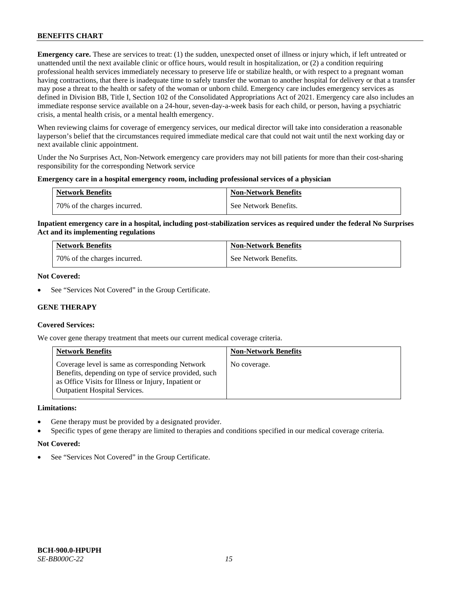**Emergency care.** These are services to treat: (1) the sudden, unexpected onset of illness or injury which, if left untreated or unattended until the next available clinic or office hours, would result in hospitalization, or (2) a condition requiring professional health services immediately necessary to preserve life or stabilize health, or with respect to a pregnant woman having contractions, that there is inadequate time to safely transfer the woman to another hospital for delivery or that a transfer may pose a threat to the health or safety of the woman or unborn child. Emergency care includes emergency services as defined in Division BB, Title I, Section 102 of the Consolidated Appropriations Act of 2021. Emergency care also includes an immediate response service available on a 24-hour, seven-day-a-week basis for each child, or person, having a psychiatric crisis, a mental health crisis, or a mental health emergency.

When reviewing claims for coverage of emergency services, our medical director will take into consideration a reasonable layperson's belief that the circumstances required immediate medical care that could not wait until the next working day or next available clinic appointment.

Under the No Surprises Act, Non-Network emergency care providers may not bill patients for more than their cost-sharing responsibility for the corresponding Network service

### **Emergency care in a hospital emergency room, including professional services of a physician**

| <b>Network Benefits</b>      | <b>Non-Network Benefits</b> |
|------------------------------|-----------------------------|
| 70% of the charges incurred. | See Network Benefits.       |

**Inpatient emergency care in a hospital, including post-stabilization services as required under the federal No Surprises Act and its implementing regulations**

| <b>Network Benefits</b>      | <b>Non-Network Benefits</b> |
|------------------------------|-----------------------------|
| 70% of the charges incurred. | See Network Benefits.       |

### **Not Covered:**

See "Services Not Covered" in the Group Certificate.

### **GENE THERAPY**

### **Covered Services:**

We cover gene therapy treatment that meets our current medical coverage criteria.

| <b>Network Benefits</b>                                                                                                                                                                                  | <b>Non-Network Benefits</b> |
|----------------------------------------------------------------------------------------------------------------------------------------------------------------------------------------------------------|-----------------------------|
| Coverage level is same as corresponding Network<br>Benefits, depending on type of service provided, such<br>as Office Visits for Illness or Injury, Inpatient or<br><b>Outpatient Hospital Services.</b> | No coverage.                |

#### **Limitations:**

- Gene therapy must be provided by a designated provider.
- Specific types of gene therapy are limited to therapies and conditions specified in our medical coverage criteria.

#### **Not Covered:**

See "Services Not Covered" in the Group Certificate.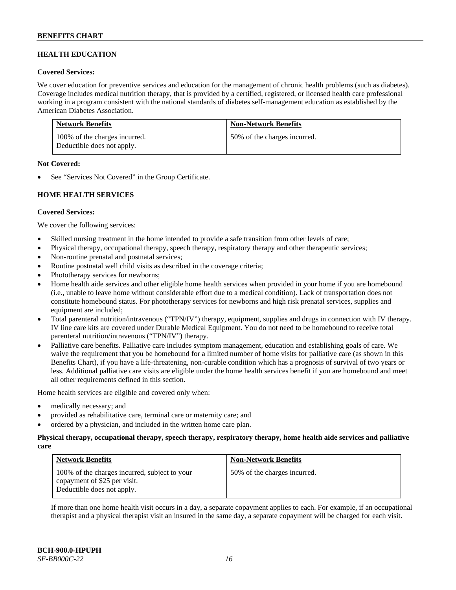# **HEALTH EDUCATION**

### **Covered Services:**

We cover education for preventive services and education for the management of chronic health problems (such as diabetes). Coverage includes medical nutrition therapy, that is provided by a certified, registered, or licensed health care professional working in a program consistent with the national standards of diabetes self-management education as established by the American Diabetes Association.

| <b>Network Benefits</b>                                     | <b>Non-Network Benefits</b>  |
|-------------------------------------------------------------|------------------------------|
| 100% of the charges incurred.<br>Deductible does not apply. | 50% of the charges incurred. |

### **Not Covered:**

See "Services Not Covered" in the Group Certificate.

### **HOME HEALTH SERVICES**

### **Covered Services:**

We cover the following services:

- Skilled nursing treatment in the home intended to provide a safe transition from other levels of care;
- Physical therapy, occupational therapy, speech therapy, respiratory therapy and other therapeutic services;
- Non-routine prenatal and postnatal services;
- Routine postnatal well child visits as described in the coverage criteria;
- Phototherapy services for newborns;
- Home health aide services and other eligible home health services when provided in your home if you are homebound (i.e., unable to leave home without considerable effort due to a medical condition). Lack of transportation does not constitute homebound status. For phototherapy services for newborns and high risk prenatal services, supplies and equipment are included;
- Total parenteral nutrition/intravenous ("TPN/IV") therapy, equipment, supplies and drugs in connection with IV therapy. IV line care kits are covered under Durable Medical Equipment. You do not need to be homebound to receive total parenteral nutrition/intravenous ("TPN/IV") therapy.
- Palliative care benefits. Palliative care includes symptom management, education and establishing goals of care. We waive the requirement that you be homebound for a limited number of home visits for palliative care (as shown in this Benefits Chart), if you have a life-threatening, non-curable condition which has a prognosis of survival of two years or less. Additional palliative care visits are eligible under the home health services benefit if you are homebound and meet all other requirements defined in this section.

Home health services are eligible and covered only when:

- medically necessary; and
- provided as rehabilitative care, terminal care or maternity care; and
- ordered by a physician, and included in the written home care plan.

# **Physical therapy, occupational therapy, speech therapy, respiratory therapy, home health aide services and palliative care**

| <b>Network Benefits</b>                                                                                     | <b>Non-Network Benefits</b>  |
|-------------------------------------------------------------------------------------------------------------|------------------------------|
| 100% of the charges incurred, subject to your<br>copayment of \$25 per visit.<br>Deductible does not apply. | 50% of the charges incurred. |

If more than one home health visit occurs in a day, a separate copayment applies to each. For example, if an occupational therapist and a physical therapist visit an insured in the same day, a separate copayment will be charged for each visit.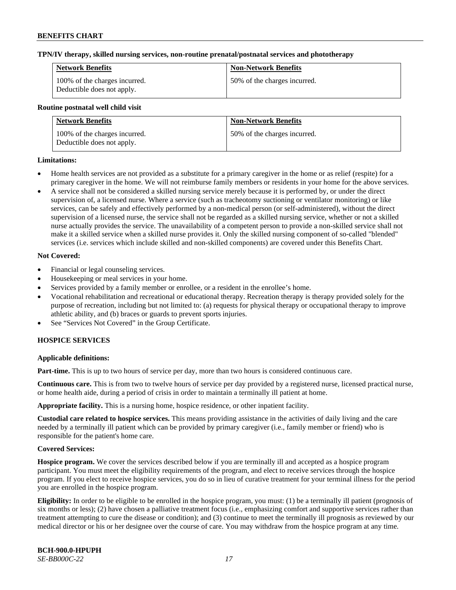### **TPN/IV therapy, skilled nursing services, non-routine prenatal/postnatal services and phototherapy**

| <b>Network Benefits</b>                                     | <b>Non-Network Benefits</b>  |
|-------------------------------------------------------------|------------------------------|
| 100% of the charges incurred.<br>Deductible does not apply. | 50% of the charges incurred. |

### **Routine postnatal well child visit**

| <b>Network Benefits</b>                                     | <b>Non-Network Benefits</b>  |
|-------------------------------------------------------------|------------------------------|
| 100% of the charges incurred.<br>Deductible does not apply. | 50% of the charges incurred. |

### **Limitations:**

- Home health services are not provided as a substitute for a primary caregiver in the home or as relief (respite) for a primary caregiver in the home. We will not reimburse family members or residents in your home for the above services.
- A service shall not be considered a skilled nursing service merely because it is performed by, or under the direct supervision of, a licensed nurse. Where a service (such as tracheotomy suctioning or ventilator monitoring) or like services, can be safely and effectively performed by a non-medical person (or self-administered), without the direct supervision of a licensed nurse, the service shall not be regarded as a skilled nursing service, whether or not a skilled nurse actually provides the service. The unavailability of a competent person to provide a non-skilled service shall not make it a skilled service when a skilled nurse provides it. Only the skilled nursing component of so-called "blended" services (i.e. services which include skilled and non-skilled components) are covered under this Benefits Chart.

### **Not Covered:**

- Financial or legal counseling services.
- Housekeeping or meal services in your home.
- Services provided by a family member or enrollee, or a resident in the enrollee's home.
- Vocational rehabilitation and recreational or educational therapy. Recreation therapy is therapy provided solely for the purpose of recreation, including but not limited to: (a) requests for physical therapy or occupational therapy to improve athletic ability, and (b) braces or guards to prevent sports injuries.
- See "Services Not Covered" in the Group Certificate.

# **HOSPICE SERVICES**

### **Applicable definitions:**

**Part-time.** This is up to two hours of service per day, more than two hours is considered continuous care.

**Continuous care.** This is from two to twelve hours of service per day provided by a registered nurse, licensed practical nurse, or home health aide, during a period of crisis in order to maintain a terminally ill patient at home.

**Appropriate facility.** This is a nursing home, hospice residence, or other inpatient facility.

**Custodial care related to hospice services.** This means providing assistance in the activities of daily living and the care needed by a terminally ill patient which can be provided by primary caregiver (i.e., family member or friend) who is responsible for the patient's home care.

### **Covered Services:**

**Hospice program.** We cover the services described below if you are terminally ill and accepted as a hospice program participant. You must meet the eligibility requirements of the program, and elect to receive services through the hospice program. If you elect to receive hospice services, you do so in lieu of curative treatment for your terminal illness for the period you are enrolled in the hospice program.

**Eligibility:** In order to be eligible to be enrolled in the hospice program, you must: (1) be a terminally ill patient (prognosis of six months or less); (2) have chosen a palliative treatment focus (i.e., emphasizing comfort and supportive services rather than treatment attempting to cure the disease or condition); and (3) continue to meet the terminally ill prognosis as reviewed by our medical director or his or her designee over the course of care. You may withdraw from the hospice program at any time.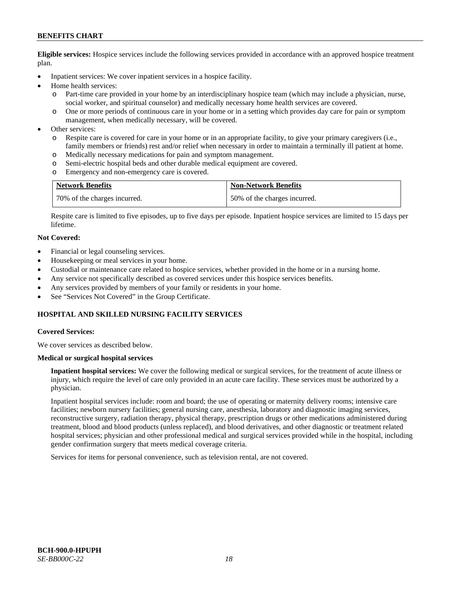**Eligible services:** Hospice services include the following services provided in accordance with an approved hospice treatment plan.

- Inpatient services: We cover inpatient services in a hospice facility.
- Home health services:
	- o Part-time care provided in your home by an interdisciplinary hospice team (which may include a physician, nurse, social worker, and spiritual counselor) and medically necessary home health services are covered.
	- o One or more periods of continuous care in your home or in a setting which provides day care for pain or symptom management, when medically necessary, will be covered.
- Other services:
	- o Respite care is covered for care in your home or in an appropriate facility, to give your primary caregivers (i.e., family members or friends) rest and/or relief when necessary in order to maintain a terminally ill patient at home.
	- o Medically necessary medications for pain and symptom management.
	- o Semi-electric hospital beds and other durable medical equipment are covered.
	- o Emergency and non-emergency care is covered.

| <b>Network Benefits</b>      | <b>Non-Network Benefits</b>  |
|------------------------------|------------------------------|
| 70% of the charges incurred. | 50% of the charges incurred. |

Respite care is limited to five episodes, up to five days per episode. Inpatient hospice services are limited to 15 days per lifetime.

### **Not Covered:**

- Financial or legal counseling services.
- Housekeeping or meal services in your home.
- Custodial or maintenance care related to hospice services, whether provided in the home or in a nursing home.
- Any service not specifically described as covered services under this hospice services benefits.
- Any services provided by members of your family or residents in your home.
- See "Services Not Covered" in the Group Certificate.

### **HOSPITAL AND SKILLED NURSING FACILITY SERVICES**

#### **Covered Services:**

We cover services as described below.

#### **Medical or surgical hospital services**

**Inpatient hospital services:** We cover the following medical or surgical services, for the treatment of acute illness or injury, which require the level of care only provided in an acute care facility. These services must be authorized by a physician.

Inpatient hospital services include: room and board; the use of operating or maternity delivery rooms; intensive care facilities; newborn nursery facilities; general nursing care, anesthesia, laboratory and diagnostic imaging services, reconstructive surgery, radiation therapy, physical therapy, prescription drugs or other medications administered during treatment, blood and blood products (unless replaced), and blood derivatives, and other diagnostic or treatment related hospital services; physician and other professional medical and surgical services provided while in the hospital, including gender confirmation surgery that meets medical coverage criteria.

Services for items for personal convenience, such as television rental, are not covered.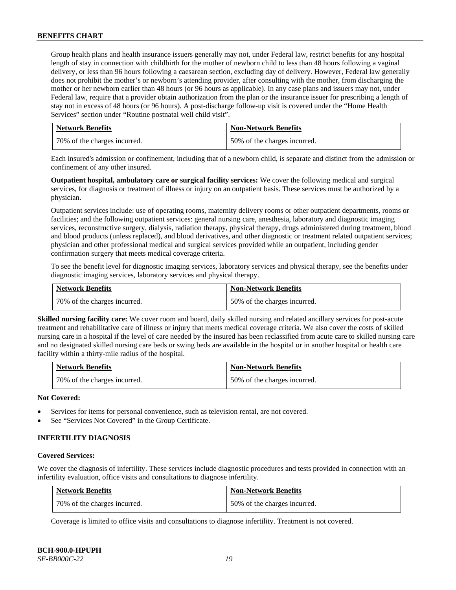Group health plans and health insurance issuers generally may not, under Federal law, restrict benefits for any hospital length of stay in connection with childbirth for the mother of newborn child to less than 48 hours following a vaginal delivery, or less than 96 hours following a caesarean section, excluding day of delivery. However, Federal law generally does not prohibit the mother's or newborn's attending provider, after consulting with the mother, from discharging the mother or her newborn earlier than 48 hours (or 96 hours as applicable). In any case plans and issuers may not, under Federal law, require that a provider obtain authorization from the plan or the insurance issuer for prescribing a length of stay not in excess of 48 hours (or 96 hours). A post-discharge follow-up visit is covered under the "Home Health Services" section under "Routine postnatal well child visit".

| <b>Network Benefits</b>      | <b>Non-Network Benefits</b>  |
|------------------------------|------------------------------|
| 70% of the charges incurred. | 50% of the charges incurred. |

Each insured's admission or confinement, including that of a newborn child, is separate and distinct from the admission or confinement of any other insured.

**Outpatient hospital, ambulatory care or surgical facility services:** We cover the following medical and surgical services, for diagnosis or treatment of illness or injury on an outpatient basis. These services must be authorized by a physician.

Outpatient services include: use of operating rooms, maternity delivery rooms or other outpatient departments, rooms or facilities; and the following outpatient services: general nursing care, anesthesia, laboratory and diagnostic imaging services, reconstructive surgery, dialysis, radiation therapy, physical therapy, drugs administered during treatment, blood and blood products (unless replaced), and blood derivatives, and other diagnostic or treatment related outpatient services; physician and other professional medical and surgical services provided while an outpatient, including gender confirmation surgery that meets medical coverage criteria.

To see the benefit level for diagnostic imaging services, laboratory services and physical therapy, see the benefits under diagnostic imaging services, laboratory services and physical therapy.

| <b>Network Benefits</b>      | <b>Non-Network Benefits</b>  |
|------------------------------|------------------------------|
| 70% of the charges incurred. | 50% of the charges incurred. |

**Skilled nursing facility care:** We cover room and board, daily skilled nursing and related ancillary services for post-acute treatment and rehabilitative care of illness or injury that meets medical coverage criteria. We also cover the costs of skilled nursing care in a hospital if the level of care needed by the insured has been reclassified from acute care to skilled nursing care and no designated skilled nursing care beds or swing beds are available in the hospital or in another hospital or health care facility within a thirty-mile radius of the hospital.

| <b>Network Benefits</b>      | <b>Non-Network Benefits</b>  |
|------------------------------|------------------------------|
| 70% of the charges incurred. | 50% of the charges incurred. |

#### **Not Covered:**

- Services for items for personal convenience, such as television rental, are not covered.
- See "Services Not Covered" in the Group Certificate.

# **INFERTILITY DIAGNOSIS**

#### **Covered Services:**

We cover the diagnosis of infertility. These services include diagnostic procedures and tests provided in connection with an infertility evaluation, office visits and consultations to diagnose infertility.

| <b>Network Benefits</b>      | <b>Non-Network Benefits</b>  |
|------------------------------|------------------------------|
| 70% of the charges incurred. | 50% of the charges incurred. |

Coverage is limited to office visits and consultations to diagnose infertility. Treatment is not covered.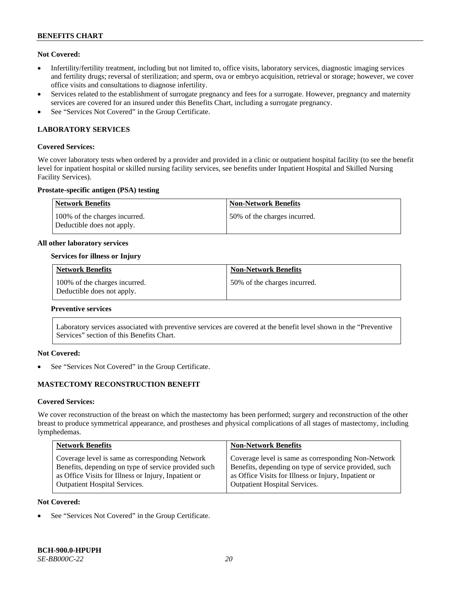### **Not Covered:**

- Infertility/fertility treatment, including but not limited to, office visits, laboratory services, diagnostic imaging services and fertility drugs; reversal of sterilization; and sperm, ova or embryo acquisition, retrieval or storage; however, we cover office visits and consultations to diagnose infertility.
- Services related to the establishment of surrogate pregnancy and fees for a surrogate. However, pregnancy and maternity services are covered for an insured under this Benefits Chart, including a surrogate pregnancy.
- See "Services Not Covered" in the Group Certificate.

### **LABORATORY SERVICES**

#### **Covered Services:**

We cover laboratory tests when ordered by a provider and provided in a clinic or outpatient hospital facility (to see the benefit level for inpatient hospital or skilled nursing facility services, see benefits under Inpatient Hospital and Skilled Nursing Facility Services).

### **Prostate-specific antigen (PSA) testing**

| Network Benefits                                            | <b>Non-Network Benefits</b>  |
|-------------------------------------------------------------|------------------------------|
| 100% of the charges incurred.<br>Deductible does not apply. | 50% of the charges incurred. |

#### **All other laboratory services**

### **Services for illness or Injury**

| <b>Network Benefits</b>                                     | <b>Non-Network Benefits</b>  |
|-------------------------------------------------------------|------------------------------|
| 100% of the charges incurred.<br>Deductible does not apply. | 50% of the charges incurred. |

#### **Preventive services**

Laboratory services associated with preventive services are covered at the benefit level shown in the "Preventive Services" section of this Benefits Chart.

### **Not Covered:**

See "Services Not Covered" in the Group Certificate.

### **MASTECTOMY RECONSTRUCTION BENEFIT**

#### **Covered Services:**

We cover reconstruction of the breast on which the mastectomy has been performed; surgery and reconstruction of the other breast to produce symmetrical appearance, and prostheses and physical complications of all stages of mastectomy, including lymphedemas.

| <b>Non-Network Benefits</b>                                                                                                                                                                                  |
|--------------------------------------------------------------------------------------------------------------------------------------------------------------------------------------------------------------|
| Coverage level is same as corresponding Non-Network<br>Benefits, depending on type of service provided, such<br>as Office Visits for Illness or Injury, Inpatient or<br><b>Outpatient Hospital Services.</b> |
|                                                                                                                                                                                                              |

#### **Not Covered:**

See "Services Not Covered" in the Group Certificate.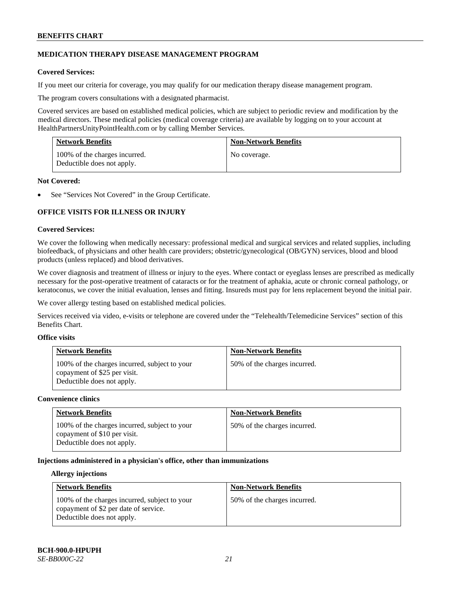### **MEDICATION THERAPY DISEASE MANAGEMENT PROGRAM**

### **Covered Services:**

If you meet our criteria for coverage, you may qualify for our medication therapy disease management program.

The program covers consultations with a designated pharmacist.

Covered services are based on established medical policies, which are subject to periodic review and modification by the medical directors. These medical policies (medical coverage criteria) are available by logging on to your account at [HealthPartnersUnityPointHealth.com](https://www.healthpartnersunitypointhealth.com/) or by calling Member Services.

| <b>Network Benefits</b>                                     | <b>Non-Network Benefits</b> |
|-------------------------------------------------------------|-----------------------------|
| 100% of the charges incurred.<br>Deductible does not apply. | No coverage.                |

### **Not Covered:**

See "Services Not Covered" in the Group Certificate.

### **OFFICE VISITS FOR ILLNESS OR INJURY**

### **Covered Services:**

We cover the following when medically necessary: professional medical and surgical services and related supplies, including biofeedback, of physicians and other health care providers; obstetric/gynecological (OB/GYN) services, blood and blood products (unless replaced) and blood derivatives.

We cover diagnosis and treatment of illness or injury to the eyes. Where contact or eyeglass lenses are prescribed as medically necessary for the post-operative treatment of cataracts or for the treatment of aphakia, acute or chronic corneal pathology, or keratoconus, we cover the initial evaluation, lenses and fitting. Insureds must pay for lens replacement beyond the initial pair.

We cover allergy testing based on established medical policies.

Services received via video, e-visits or telephone are covered under the "Telehealth/Telemedicine Services" section of this Benefits Chart.

# **Office visits**

| <b>Network Benefits</b>                                                                                     | <b>Non-Network Benefits</b>  |
|-------------------------------------------------------------------------------------------------------------|------------------------------|
| 100% of the charges incurred, subject to your<br>copayment of \$25 per visit.<br>Deductible does not apply. | 50% of the charges incurred. |

#### **Convenience clinics**

| <b>Network Benefits</b>                                                                                     | <b>Non-Network Benefits</b>  |
|-------------------------------------------------------------------------------------------------------------|------------------------------|
| 100% of the charges incurred, subject to your<br>copayment of \$10 per visit.<br>Deductible does not apply. | 50% of the charges incurred. |

#### **Injections administered in a physician's office, other than immunizations**

#### **Allergy injections**

| <b>Network Benefits</b>                                                                                              | <b>Non-Network Benefits</b>  |
|----------------------------------------------------------------------------------------------------------------------|------------------------------|
| 100% of the charges incurred, subject to your<br>copayment of \$2 per date of service.<br>Deductible does not apply. | 50% of the charges incurred. |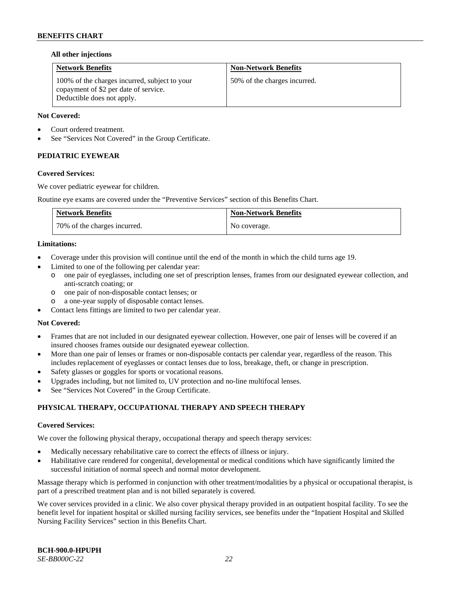### **All other injections**

| <b>Network Benefits</b>                                                                                              | <b>Non-Network Benefits</b>  |
|----------------------------------------------------------------------------------------------------------------------|------------------------------|
| 100% of the charges incurred, subject to your<br>copayment of \$2 per date of service.<br>Deductible does not apply. | 50% of the charges incurred. |

### **Not Covered:**

- Court ordered treatment.
- See "Services Not Covered" in the Group Certificate.

### **PEDIATRIC EYEWEAR**

### **Covered Services:**

We cover pediatric eyewear for children.

Routine eye exams are covered under the "Preventive Services" section of this Benefits Chart.

| <b>Network Benefits</b>      | <b>Non-Network Benefits</b> |
|------------------------------|-----------------------------|
| 70% of the charges incurred. | No coverage.                |

### **Limitations:**

- Coverage under this provision will continue until the end of the month in which the child turns age 19.
	- Limited to one of the following per calendar year:
		- o one pair of eyeglasses, including one set of prescription lenses, frames from our designated eyewear collection, and anti-scratch coating; or
		- o one pair of non-disposable contact lenses; or
		- a one-year supply of disposable contact lenses.
- Contact lens fittings are limited to two per calendar year.

### **Not Covered:**

- Frames that are not included in our designated eyewear collection. However, one pair of lenses will be covered if an insured chooses frames outside our designated eyewear collection.
- More than one pair of lenses or frames or non-disposable contacts per calendar year, regardless of the reason. This includes replacement of eyeglasses or contact lenses due to loss, breakage, theft, or change in prescription.
- Safety glasses or goggles for sports or vocational reasons.
- Upgrades including, but not limited to, UV protection and no-line multifocal lenses.
- See "Services Not Covered" in the Group Certificate.

# **PHYSICAL THERAPY, OCCUPATIONAL THERAPY AND SPEECH THERAPY**

### **Covered Services:**

We cover the following physical therapy, occupational therapy and speech therapy services:

- Medically necessary rehabilitative care to correct the effects of illness or injury.
- Habilitative care rendered for congenital, developmental or medical conditions which have significantly limited the successful initiation of normal speech and normal motor development.

Massage therapy which is performed in conjunction with other treatment/modalities by a physical or occupational therapist, is part of a prescribed treatment plan and is not billed separately is covered.

We cover services provided in a clinic. We also cover physical therapy provided in an outpatient hospital facility. To see the benefit level for inpatient hospital or skilled nursing facility services, see benefits under the "Inpatient Hospital and Skilled Nursing Facility Services" section in this Benefits Chart.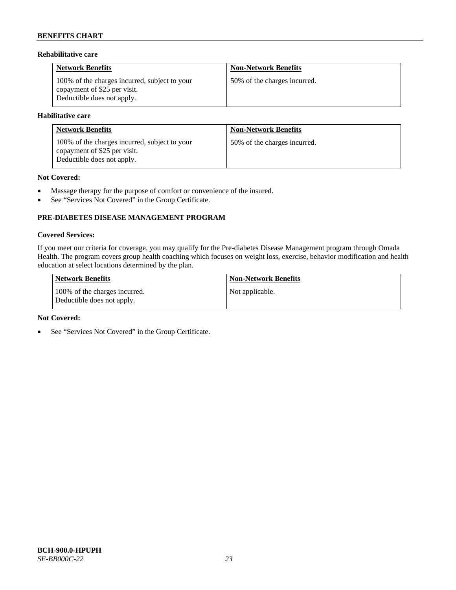# **Rehabilitative care**

| <b>Network Benefits</b>                                                                                     | <b>Non-Network Benefits</b>  |
|-------------------------------------------------------------------------------------------------------------|------------------------------|
| 100% of the charges incurred, subject to your<br>copayment of \$25 per visit.<br>Deductible does not apply. | 50% of the charges incurred. |

### **Habilitative care**

| <b>Network Benefits</b>                                                                                     | <b>Non-Network Benefits</b>  |
|-------------------------------------------------------------------------------------------------------------|------------------------------|
| 100% of the charges incurred, subject to your<br>copayment of \$25 per visit.<br>Deductible does not apply. | 50% of the charges incurred. |

### **Not Covered:**

- Massage therapy for the purpose of comfort or convenience of the insured.
- See "Services Not Covered" in the Group Certificate.

# **PRE-DIABETES DISEASE MANAGEMENT PROGRAM**

### **Covered Services:**

If you meet our criteria for coverage, you may qualify for the Pre-diabetes Disease Management program through Omada Health. The program covers group health coaching which focuses on weight loss, exercise, behavior modification and health education at select locations determined by the plan.

| Network Benefits                                            | <b>Non-Network Benefits</b> |
|-------------------------------------------------------------|-----------------------------|
| 100% of the charges incurred.<br>Deductible does not apply. | Not applicable.             |

#### **Not Covered:**

• See "Services Not Covered" in the Group Certificate.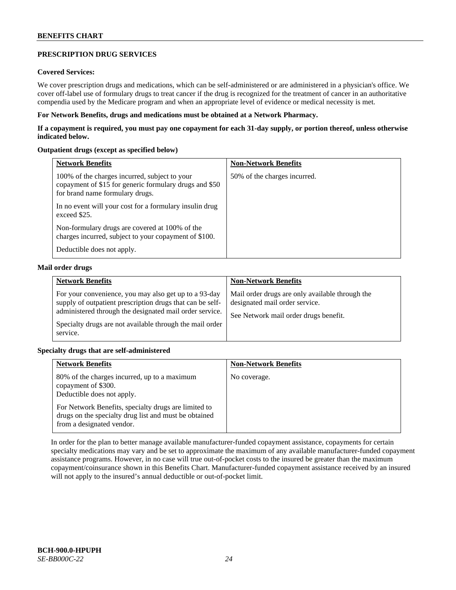## **PRESCRIPTION DRUG SERVICES**

### **Covered Services:**

We cover prescription drugs and medications, which can be self-administered or are administered in a physician's office. We cover off-label use of formulary drugs to treat cancer if the drug is recognized for the treatment of cancer in an authoritative compendia used by the Medicare program and when an appropriate level of evidence or medical necessity is met.

### **For Network Benefits, drugs and medications must be obtained at a Network Pharmacy.**

**If a copayment is required, you must pay one copayment for each 31-day supply, or portion thereof, unless otherwise indicated below.**

### **Outpatient drugs (except as specified below)**

| <b>Network Benefits</b>                                                                                                                    | <b>Non-Network Benefits</b>  |
|--------------------------------------------------------------------------------------------------------------------------------------------|------------------------------|
| 100% of the charges incurred, subject to your<br>copayment of \$15 for generic formulary drugs and \$50<br>for brand name formulary drugs. | 50% of the charges incurred. |
| In no event will your cost for a formulary insulin drug<br>exceed \$25.                                                                    |                              |
| Non-formulary drugs are covered at 100% of the<br>charges incurred, subject to your copayment of \$100.                                    |                              |
| Deductible does not apply.                                                                                                                 |                              |

#### **Mail order drugs**

| <b>Network Benefits</b>                                                                                                                                                                                                                               | <b>Non-Network Benefits</b>                                                                                                |
|-------------------------------------------------------------------------------------------------------------------------------------------------------------------------------------------------------------------------------------------------------|----------------------------------------------------------------------------------------------------------------------------|
| For your convenience, you may also get up to a 93-day<br>supply of outpatient prescription drugs that can be self-<br>administered through the designated mail order service.<br>Specialty drugs are not available through the mail order<br>service. | Mail order drugs are only available through the<br>designated mail order service.<br>See Network mail order drugs benefit. |

### **Specialty drugs that are self-administered**

| <b>Network Benefits</b>                                                                                                                    | <b>Non-Network Benefits</b> |
|--------------------------------------------------------------------------------------------------------------------------------------------|-----------------------------|
| 80% of the charges incurred, up to a maximum<br>copayment of \$300.<br>Deductible does not apply.                                          | No coverage.                |
| For Network Benefits, specialty drugs are limited to<br>drugs on the specialty drug list and must be obtained<br>from a designated vendor. |                             |

In order for the plan to better manage available manufacturer-funded copayment assistance, copayments for certain specialty medications may vary and be set to approximate the maximum of any available manufacturer-funded copayment assistance programs. However, in no case will true out-of-pocket costs to the insured be greater than the maximum copayment/coinsurance shown in this Benefits Chart. Manufacturer-funded copayment assistance received by an insured will not apply to the insured's annual deductible or out-of-pocket limit.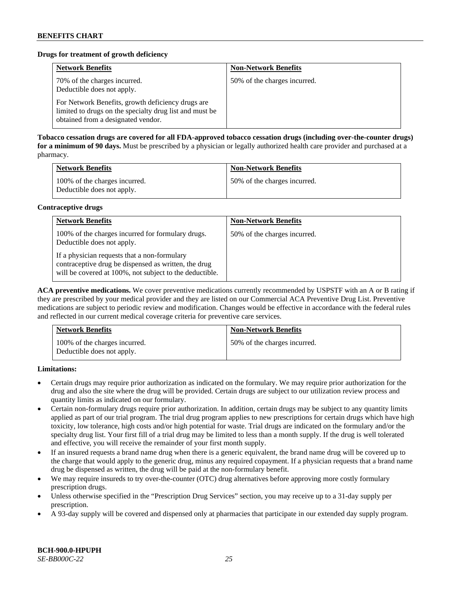### **Drugs for treatment of growth deficiency**

| <b>Network Benefits</b>                                                                                                                            | <b>Non-Network Benefits</b>  |
|----------------------------------------------------------------------------------------------------------------------------------------------------|------------------------------|
| 70% of the charges incurred.<br>Deductible does not apply.                                                                                         | 50% of the charges incurred. |
| For Network Benefits, growth deficiency drugs are<br>limited to drugs on the specialty drug list and must be<br>obtained from a designated vendor. |                              |

**Tobacco cessation drugs are covered for all FDA-approved tobacco cessation drugs (including over-the-counter drugs) for a minimum of 90 days.** Must be prescribed by a physician or legally authorized health care provider and purchased at a pharmacy.

| <b>Network Benefits</b>                                     | <b>Non-Network Benefits</b>  |
|-------------------------------------------------------------|------------------------------|
| 100% of the charges incurred.<br>Deductible does not apply. | 50% of the charges incurred. |

### **Contraceptive drugs**

| <b>Network Benefits</b>                                                                                                                                         | <b>Non-Network Benefits</b>  |
|-----------------------------------------------------------------------------------------------------------------------------------------------------------------|------------------------------|
| 100% of the charges incurred for formulary drugs.<br>Deductible does not apply.                                                                                 | 50% of the charges incurred. |
| If a physician requests that a non-formulary<br>contraceptive drug be dispensed as written, the drug<br>will be covered at 100%, not subject to the deductible. |                              |

**ACA preventive medications.** We cover preventive medications currently recommended by USPSTF with an A or B rating if they are prescribed by your medical provider and they are listed on our Commercial ACA Preventive Drug List. Preventive medications are subject to periodic review and modification. Changes would be effective in accordance with the federal rules and reflected in our current medical coverage criteria for preventive care services.

| <b>Network Benefits</b>                                     | <b>Non-Network Benefits</b>  |
|-------------------------------------------------------------|------------------------------|
| 100% of the charges incurred.<br>Deductible does not apply. | 50% of the charges incurred. |

**Limitations:**

- Certain drugs may require prior authorization as indicated on the formulary. We may require prior authorization for the drug and also the site where the drug will be provided. Certain drugs are subject to our utilization review process and quantity limits as indicated on our formulary.
- Certain non-formulary drugs require prior authorization. In addition, certain drugs may be subject to any quantity limits applied as part of our trial program. The trial drug program applies to new prescriptions for certain drugs which have high toxicity, low tolerance, high costs and/or high potential for waste. Trial drugs are indicated on the formulary and/or the specialty drug list. Your first fill of a trial drug may be limited to less than a month supply. If the drug is well tolerated and effective, you will receive the remainder of your first month supply.
- If an insured requests a brand name drug when there is a generic equivalent, the brand name drug will be covered up to the charge that would apply to the generic drug, minus any required copayment. If a physician requests that a brand name drug be dispensed as written, the drug will be paid at the non-formulary benefit.
- We may require insureds to try over-the-counter (OTC) drug alternatives before approving more costly formulary prescription drugs.
- Unless otherwise specified in the "Prescription Drug Services" section, you may receive up to a 31-day supply per prescription.
- A 93-day supply will be covered and dispensed only at pharmacies that participate in our extended day supply program.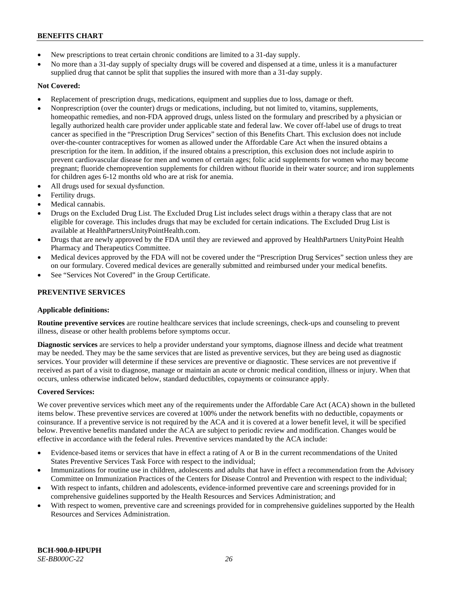- New prescriptions to treat certain chronic conditions are limited to a 31-day supply.
- No more than a 31-day supply of specialty drugs will be covered and dispensed at a time, unless it is a manufacturer supplied drug that cannot be split that supplies the insured with more than a 31-day supply.

# **Not Covered:**

- Replacement of prescription drugs, medications, equipment and supplies due to loss, damage or theft.
- Nonprescription (over the counter) drugs or medications, including, but not limited to, vitamins, supplements, homeopathic remedies, and non-FDA approved drugs, unless listed on the formulary and prescribed by a physician or legally authorized health care provider under applicable state and federal law. We cover off-label use of drugs to treat cancer as specified in the "Prescription Drug Services" section of this Benefits Chart. This exclusion does not include over-the-counter contraceptives for women as allowed under the Affordable Care Act when the insured obtains a prescription for the item. In addition, if the insured obtains a prescription, this exclusion does not include aspirin to prevent cardiovascular disease for men and women of certain ages; folic acid supplements for women who may become pregnant; fluoride chemoprevention supplements for children without fluoride in their water source; and iron supplements for children ages 6-12 months old who are at risk for anemia.
- All drugs used for sexual dysfunction.
- Fertility drugs.
- Medical cannabis.
- Drugs on the Excluded Drug List. The Excluded Drug List includes select drugs within a therapy class that are not eligible for coverage. This includes drugs that may be excluded for certain indications. The Excluded Drug List is available a[t HealthPartnersUnityPointHealth.com.](https://www.healthpartnersunitypointhealth.com/)
- Drugs that are newly approved by the FDA until they are reviewed and approved by HealthPartners UnityPoint Health Pharmacy and Therapeutics Committee.
- Medical devices approved by the FDA will not be covered under the "Prescription Drug Services" section unless they are on our formulary. Covered medical devices are generally submitted and reimbursed under your medical benefits.
- See "Services Not Covered" in the Group Certificate.

# **PREVENTIVE SERVICES**

### **Applicable definitions:**

**Routine preventive services** are routine healthcare services that include screenings, check-ups and counseling to prevent illness, disease or other health problems before symptoms occur.

**Diagnostic services** are services to help a provider understand your symptoms, diagnose illness and decide what treatment may be needed. They may be the same services that are listed as preventive services, but they are being used as diagnostic services. Your provider will determine if these services are preventive or diagnostic. These services are not preventive if received as part of a visit to diagnose, manage or maintain an acute or chronic medical condition, illness or injury. When that occurs, unless otherwise indicated below, standard deductibles, copayments or coinsurance apply.

### **Covered Services:**

We cover preventive services which meet any of the requirements under the Affordable Care Act (ACA) shown in the bulleted items below. These preventive services are covered at 100% under the network benefits with no deductible, copayments or coinsurance. If a preventive service is not required by the ACA and it is covered at a lower benefit level, it will be specified below. Preventive benefits mandated under the ACA are subject to periodic review and modification. Changes would be effective in accordance with the federal rules. Preventive services mandated by the ACA include:

- Evidence-based items or services that have in effect a rating of A or B in the current recommendations of the United States Preventive Services Task Force with respect to the individual;
- Immunizations for routine use in children, adolescents and adults that have in effect a recommendation from the Advisory Committee on Immunization Practices of the Centers for Disease Control and Prevention with respect to the individual;
- With respect to infants, children and adolescents, evidence-informed preventive care and screenings provided for in comprehensive guidelines supported by the Health Resources and Services Administration; and
- With respect to women, preventive care and screenings provided for in comprehensive guidelines supported by the Health Resources and Services Administration.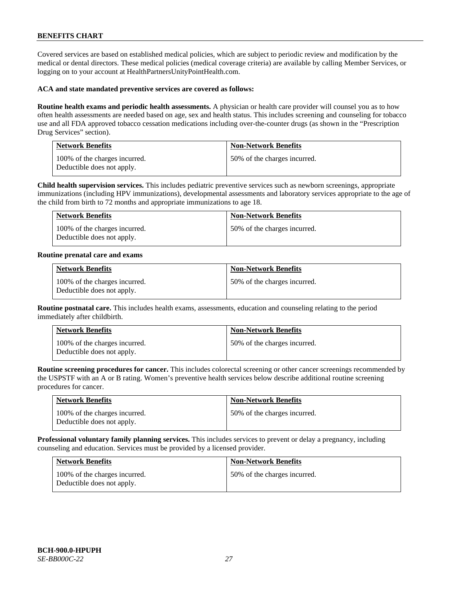Covered services are based on established medical policies, which are subject to periodic review and modification by the medical or dental directors. These medical policies (medical coverage criteria) are available by calling Member Services, or logging on to your account at [HealthPartnersUnityPointHealth.com.](https://www.healthpartnersunitypointhealth.com/)

#### **ACA and state mandated preventive services are covered as follows:**

**Routine health exams and periodic health assessments.** A physician or health care provider will counsel you as to how often health assessments are needed based on age, sex and health status. This includes screening and counseling for tobacco use and all FDA approved tobacco cessation medications including over-the-counter drugs (as shown in the "Prescription Drug Services" section).

| <b>Network Benefits</b>                                     | <b>Non-Network Benefits</b>  |
|-------------------------------------------------------------|------------------------------|
| 100% of the charges incurred.<br>Deductible does not apply. | 50% of the charges incurred. |

**Child health supervision services.** This includes pediatric preventive services such as newborn screenings, appropriate immunizations (including HPV immunizations), developmental assessments and laboratory services appropriate to the age of the child from birth to 72 months and appropriate immunizations to age 18.

| <b>Network Benefits</b>                                     | <b>Non-Network Benefits</b>  |
|-------------------------------------------------------------|------------------------------|
| 100% of the charges incurred.<br>Deductible does not apply. | 50% of the charges incurred. |

#### **Routine prenatal care and exams**

| <b>Network Benefits</b>                                     | <b>Non-Network Benefits</b>  |
|-------------------------------------------------------------|------------------------------|
| 100% of the charges incurred.<br>Deductible does not apply. | 50% of the charges incurred. |

**Routine postnatal care.** This includes health exams, assessments, education and counseling relating to the period immediately after childbirth.

| <b>Network Benefits</b>                                     | <b>Non-Network Benefits</b>  |
|-------------------------------------------------------------|------------------------------|
| 100% of the charges incurred.<br>Deductible does not apply. | 50% of the charges incurred. |

**Routine screening procedures for cancer.** This includes colorectal screening or other cancer screenings recommended by the USPSTF with an A or B rating. Women's preventive health services below describe additional routine screening procedures for cancer.

| <b>Network Benefits</b>                                     | <b>Non-Network Benefits</b>  |
|-------------------------------------------------------------|------------------------------|
| 100% of the charges incurred.<br>Deductible does not apply. | 50% of the charges incurred. |

**Professional voluntary family planning services.** This includes services to prevent or delay a pregnancy, including counseling and education. Services must be provided by a licensed provider.

| <b>Network Benefits</b>                                     | <b>Non-Network Benefits</b>  |
|-------------------------------------------------------------|------------------------------|
| 100% of the charges incurred.<br>Deductible does not apply. | 50% of the charges incurred. |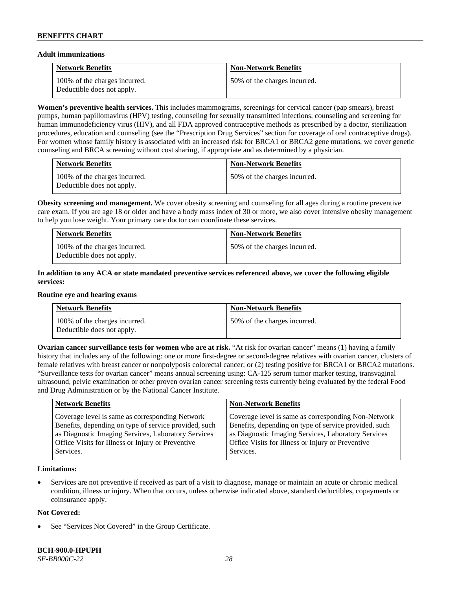### **Adult immunizations**

| <b>Network Benefits</b>                                     | <b>Non-Network Benefits</b>  |
|-------------------------------------------------------------|------------------------------|
| 100% of the charges incurred.<br>Deductible does not apply. | 50% of the charges incurred. |

**Women's preventive health services.** This includes mammograms, screenings for cervical cancer (pap smears), breast pumps, human papillomavirus (HPV) testing, counseling for sexually transmitted infections, counseling and screening for human immunodeficiency virus (HIV), and all FDA approved contraceptive methods as prescribed by a doctor, sterilization procedures, education and counseling (see the "Prescription Drug Services" section for coverage of oral contraceptive drugs). For women whose family history is associated with an increased risk for BRCA1 or BRCA2 gene mutations, we cover genetic counseling and BRCA screening without cost sharing, if appropriate and as determined by a physician.

| <b>Network Benefits</b>                                     | <b>Non-Network Benefits</b>  |
|-------------------------------------------------------------|------------------------------|
| 100% of the charges incurred.<br>Deductible does not apply. | 50% of the charges incurred. |

**Obesity screening and management.** We cover obesity screening and counseling for all ages during a routine preventive care exam. If you are age 18 or older and have a body mass index of 30 or more, we also cover intensive obesity management to help you lose weight. Your primary care doctor can coordinate these services.

| <b>Network Benefits</b>                                     | <b>Non-Network Benefits</b>  |
|-------------------------------------------------------------|------------------------------|
| 100% of the charges incurred.<br>Deductible does not apply. | 50% of the charges incurred. |

### **In addition to any ACA or state mandated preventive services referenced above, we cover the following eligible services:**

#### **Routine eye and hearing exams**

| <b>Network Benefits</b>                                     | <b>Non-Network Benefits</b>  |
|-------------------------------------------------------------|------------------------------|
| 100% of the charges incurred.<br>Deductible does not apply. | 50% of the charges incurred. |

**Ovarian cancer surveillance tests for women who are at risk. "At risk for ovarian cancer" means (1) having a family** history that includes any of the following: one or more first-degree or second-degree relatives with ovarian cancer, clusters of female relatives with breast cancer or nonpolyposis colorectal cancer; or (2) testing positive for BRCA1 or BRCA2 mutations. "Surveillance tests for ovarian cancer" means annual screening using: CA-125 serum tumor marker testing, transvaginal ultrasound, pelvic examination or other proven ovarian cancer screening tests currently being evaluated by the federal Food and Drug Administration or by the National Cancer Institute.

| <b>Network Benefits</b>                               | <b>Non-Network Benefits</b>                           |
|-------------------------------------------------------|-------------------------------------------------------|
| Coverage level is same as corresponding Network       | Coverage level is same as corresponding Non-Network   |
| Benefits, depending on type of service provided, such | Benefits, depending on type of service provided, such |
| as Diagnostic Imaging Services, Laboratory Services   | as Diagnostic Imaging Services, Laboratory Services   |
| Office Visits for Illness or Injury or Preventive     | Office Visits for Illness or Injury or Preventive     |
| Services.                                             | Services.                                             |

### **Limitations:**

• Services are not preventive if received as part of a visit to diagnose, manage or maintain an acute or chronic medical condition, illness or injury. When that occurs, unless otherwise indicated above, standard deductibles, copayments or coinsurance apply.

### **Not Covered:**

See "Services Not Covered" in the Group Certificate.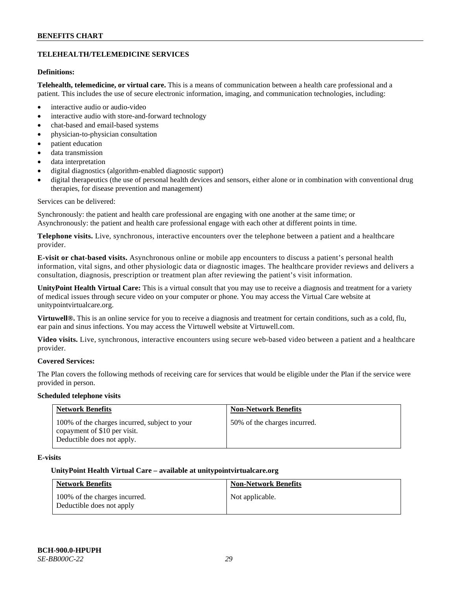## **TELEHEALTH/TELEMEDICINE SERVICES**

## **Definitions:**

**Telehealth, telemedicine, or virtual care.** This is a means of communication between a health care professional and a patient. This includes the use of secure electronic information, imaging, and communication technologies, including:

- interactive audio or audio-video
- interactive audio with store-and-forward technology
- chat-based and email-based systems
- physician-to-physician consultation
- patient education
- data transmission
- data interpretation
- digital diagnostics (algorithm-enabled diagnostic support)
- digital therapeutics (the use of personal health devices and sensors, either alone or in combination with conventional drug therapies, for disease prevention and management)

#### Services can be delivered:

Synchronously: the patient and health care professional are engaging with one another at the same time; or Asynchronously: the patient and health care professional engage with each other at different points in time.

**Telephone visits.** Live, synchronous, interactive encounters over the telephone between a patient and a healthcare provider.

**E-visit or chat-based visits.** Asynchronous online or mobile app encounters to discuss a patient's personal health information, vital signs, and other physiologic data or diagnostic images. The healthcare provider reviews and delivers a consultation, diagnosis, prescription or treatment plan after reviewing the patient's visit information.

**UnityPoint Health Virtual Care:** This is a virtual consult that you may use to receive a diagnosis and treatment for a variety of medical issues through secure video on your computer or phone. You may access the Virtual Care website at [unitypointvirtualcare.org.](https://unitypointvirtualcare.org/landing.htm)

**Virtuwell®.** This is an online service for you to receive a diagnosis and treatment for certain conditions, such as a cold, flu, ear pain and sinus infections. You may access the Virtuwell website at [Virtuwell.com.](https://www.virtuwell.com/)

**Video visits.** Live, synchronous, interactive encounters using secure web-based video between a patient and a healthcare provider.

### **Covered Services:**

The Plan covers the following methods of receiving care for services that would be eligible under the Plan if the service were provided in person.

#### **Scheduled telephone visits**

| <b>Network Benefits</b>                                                                                     | <b>Non-Network Benefits</b>  |
|-------------------------------------------------------------------------------------------------------------|------------------------------|
| 100% of the charges incurred, subject to your<br>copayment of \$10 per visit.<br>Deductible does not apply. | 50% of the charges incurred. |

### **E-visits**

#### **UnityPoint Health Virtual Care – available a[t unitypointvirtualcare.org](http://www.unitypointvirtualcare.org/)**

| <b>Network Benefits</b>                                    | <b>Non-Network Benefits</b> |
|------------------------------------------------------------|-----------------------------|
| 100% of the charges incurred.<br>Deductible does not apply | Not applicable.             |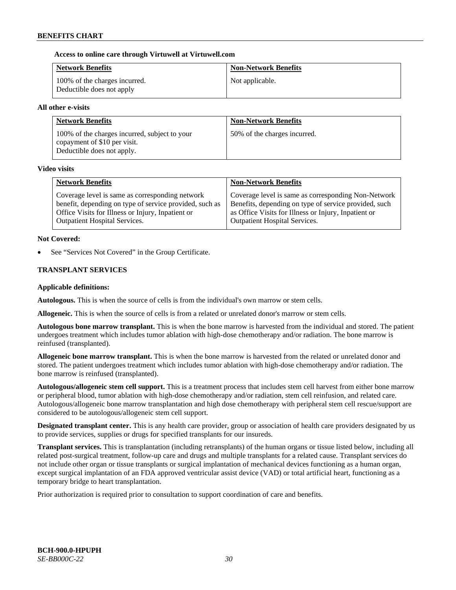### **Access to online care through Virtuwell at [Virtuwell.com](http://www.virtuwell.com/)**

| <b>Network Benefits</b>                                    | <b>Non-Network Benefits</b> |
|------------------------------------------------------------|-----------------------------|
| 100% of the charges incurred.<br>Deductible does not apply | Not applicable.             |

### **All other e-visits**

| <b>Network Benefits</b>                                                                                     | <b>Non-Network Benefits</b>  |
|-------------------------------------------------------------------------------------------------------------|------------------------------|
| 100% of the charges incurred, subject to your<br>copayment of \$10 per visit.<br>Deductible does not apply. | 50% of the charges incurred. |

#### **Video visits**

| <b>Network Benefits</b>                                 | <b>Non-Network Benefits</b>                           |
|---------------------------------------------------------|-------------------------------------------------------|
| Coverage level is same as corresponding network         | Coverage level is same as corresponding Non-Network   |
| benefit, depending on type of service provided, such as | Benefits, depending on type of service provided, such |
| Office Visits for Illness or Injury, Inpatient or       | as Office Visits for Illness or Injury, Inpatient or  |
| <b>Outpatient Hospital Services.</b>                    | <b>Outpatient Hospital Services.</b>                  |

### **Not Covered:**

See "Services Not Covered" in the Group Certificate.

### **TRANSPLANT SERVICES**

### **Applicable definitions:**

**Autologous.** This is when the source of cells is from the individual's own marrow or stem cells.

**Allogeneic.** This is when the source of cells is from a related or unrelated donor's marrow or stem cells.

**Autologous bone marrow transplant.** This is when the bone marrow is harvested from the individual and stored. The patient undergoes treatment which includes tumor ablation with high-dose chemotherapy and/or radiation. The bone marrow is reinfused (transplanted).

**Allogeneic bone marrow transplant.** This is when the bone marrow is harvested from the related or unrelated donor and stored. The patient undergoes treatment which includes tumor ablation with high-dose chemotherapy and/or radiation. The bone marrow is reinfused (transplanted).

**Autologous/allogeneic stem cell support.** This is a treatment process that includes stem cell harvest from either bone marrow or peripheral blood, tumor ablation with high-dose chemotherapy and/or radiation, stem cell reinfusion, and related care. Autologous/allogeneic bone marrow transplantation and high dose chemotherapy with peripheral stem cell rescue/support are considered to be autologous/allogeneic stem cell support.

**Designated transplant center.** This is any health care provider, group or association of health care providers designated by us to provide services, supplies or drugs for specified transplants for our insureds.

**Transplant services.** This is transplantation (including retransplants) of the human organs or tissue listed below, including all related post-surgical treatment, follow-up care and drugs and multiple transplants for a related cause. Transplant services do not include other organ or tissue transplants or surgical implantation of mechanical devices functioning as a human organ, except surgical implantation of an FDA approved ventricular assist device (VAD) or total artificial heart, functioning as a temporary bridge to heart transplantation.

Prior authorization is required prior to consultation to support coordination of care and benefits.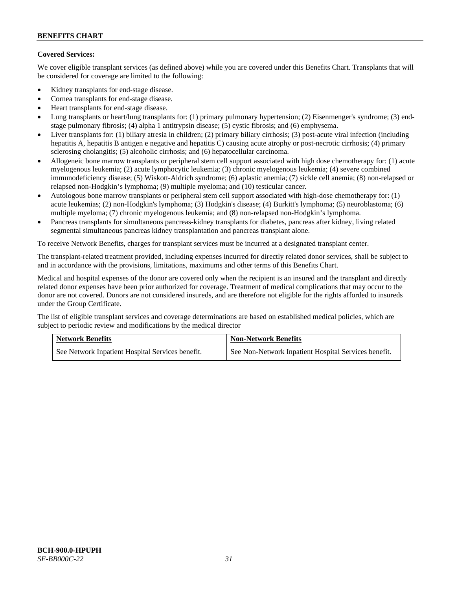# **Covered Services:**

We cover eligible transplant services (as defined above) while you are covered under this Benefits Chart. Transplants that will be considered for coverage are limited to the following:

- Kidney transplants for end-stage disease.
- Cornea transplants for end-stage disease.
- Heart transplants for end-stage disease.
- Lung transplants or heart/lung transplants for: (1) primary pulmonary hypertension; (2) Eisenmenger's syndrome; (3) endstage pulmonary fibrosis; (4) alpha 1 antitrypsin disease; (5) cystic fibrosis; and (6) emphysema.
- Liver transplants for: (1) biliary atresia in children; (2) primary biliary cirrhosis; (3) post-acute viral infection (including hepatitis A, hepatitis B antigen e negative and hepatitis C) causing acute atrophy or post-necrotic cirrhosis; (4) primary sclerosing cholangitis; (5) alcoholic cirrhosis; and (6) hepatocellular carcinoma.
- Allogeneic bone marrow transplants or peripheral stem cell support associated with high dose chemotherapy for: (1) acute myelogenous leukemia; (2) acute lymphocytic leukemia; (3) chronic myelogenous leukemia; (4) severe combined immunodeficiency disease; (5) Wiskott-Aldrich syndrome; (6) aplastic anemia; (7) sickle cell anemia; (8) non-relapsed or relapsed non-Hodgkin's lymphoma; (9) multiple myeloma; and (10) testicular cancer.
- Autologous bone marrow transplants or peripheral stem cell support associated with high-dose chemotherapy for: (1) acute leukemias; (2) non-Hodgkin's lymphoma; (3) Hodgkin's disease; (4) Burkitt's lymphoma; (5) neuroblastoma; (6) multiple myeloma; (7) chronic myelogenous leukemia; and (8) non-relapsed non-Hodgkin's lymphoma.
- Pancreas transplants for simultaneous pancreas-kidney transplants for diabetes, pancreas after kidney, living related segmental simultaneous pancreas kidney transplantation and pancreas transplant alone.

To receive Network Benefits, charges for transplant services must be incurred at a designated transplant center.

The transplant-related treatment provided, including expenses incurred for directly related donor services, shall be subject to and in accordance with the provisions, limitations, maximums and other terms of this Benefits Chart.

Medical and hospital expenses of the donor are covered only when the recipient is an insured and the transplant and directly related donor expenses have been prior authorized for coverage. Treatment of medical complications that may occur to the donor are not covered. Donors are not considered insureds, and are therefore not eligible for the rights afforded to insureds under the Group Certificate.

The list of eligible transplant services and coverage determinations are based on established medical policies, which are subject to periodic review and modifications by the medical director

| <b>Network Benefits</b>                          | <b>Non-Network Benefits</b>                          |
|--------------------------------------------------|------------------------------------------------------|
| See Network Inpatient Hospital Services benefit. | See Non-Network Inpatient Hospital Services benefit. |